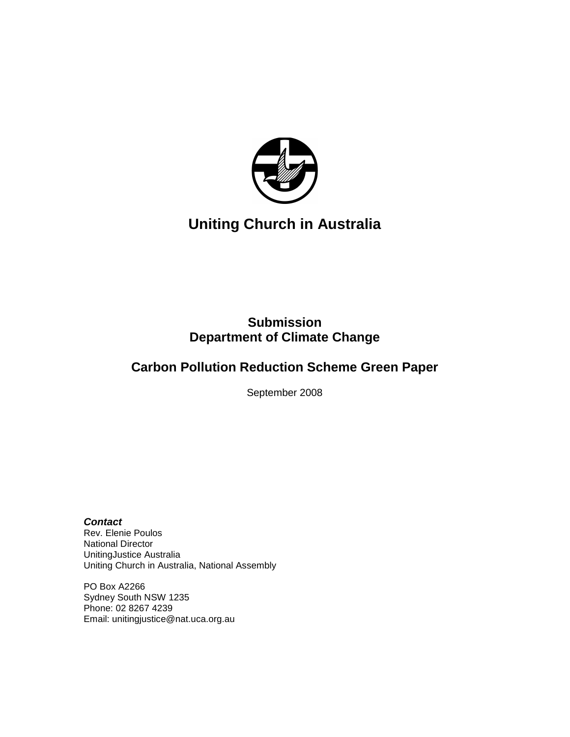

# **Uniting Church in Australia**

## **Submission Department of Climate Change**

## **Carbon Pollution Reduction Scheme Green Paper**

September 2008

#### **Contact**

Rev. Elenie Poulos National Director UnitingJustice Australia Uniting Church in Australia, National Assembly

PO Box A2266 Sydney South NSW 1235 Phone: 02 8267 4239 Email: unitingjustice@nat.uca.org.au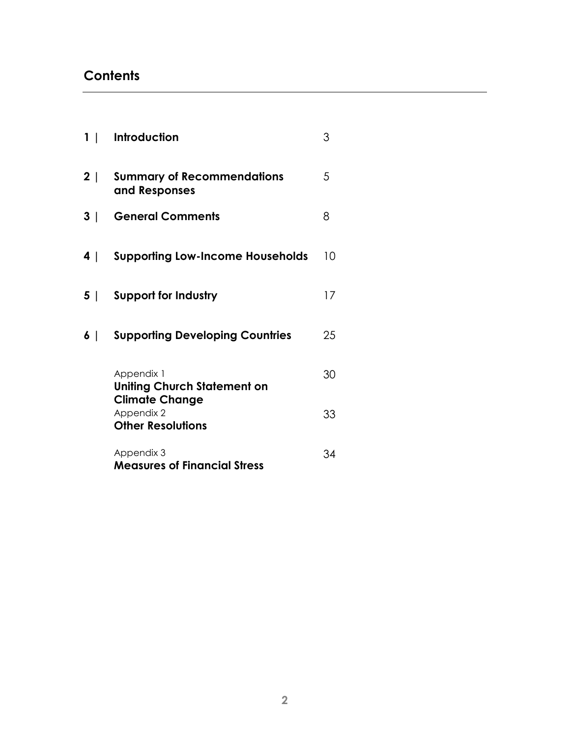# **Contents**

| 1 <sup>1</sup> | Introduction                                                    | 3  |
|----------------|-----------------------------------------------------------------|----|
| 2              | <b>Summary of Recommendations</b><br>and Responses              | 5  |
| 3              | <b>General Comments</b>                                         | 8  |
| 4              | <b>Supporting Low-Income Households</b>                         | 10 |
| 5              | <b>Support for Industry</b>                                     | 17 |
| 6              | <b>Supporting Developing Countries</b>                          | 25 |
|                | Appendix 1<br><b>Uniting Church Statement on</b>                | 30 |
|                | <b>Climate Change</b><br>Appendix 2<br><b>Other Resolutions</b> | 33 |
|                | Appendix 3<br><b>Measures of Financial Stress</b>               | 34 |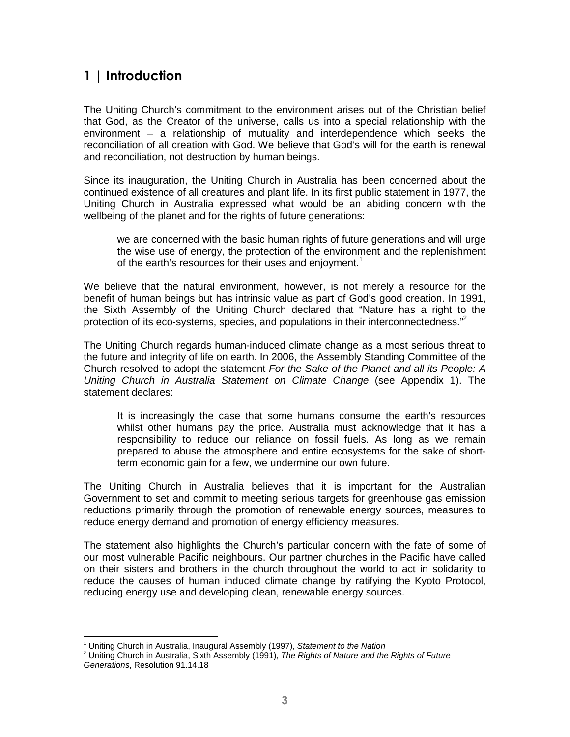### 1 | Introduction

The Uniting Church's commitment to the environment arises out of the Christian belief that God, as the Creator of the universe, calls us into a special relationship with the environment – a relationship of mutuality and interdependence which seeks the reconciliation of all creation with God. We believe that God's will for the earth is renewal and reconciliation, not destruction by human beings.

Since its inauguration, the Uniting Church in Australia has been concerned about the continued existence of all creatures and plant life. In its first public statement in 1977, the Uniting Church in Australia expressed what would be an abiding concern with the wellbeing of the planet and for the rights of future generations:

we are concerned with the basic human rights of future generations and will urge the wise use of energy, the protection of the environment and the replenishment of the earth's resources for their uses and enjoyment.<sup>1</sup>

We believe that the natural environment, however, is not merely a resource for the benefit of human beings but has intrinsic value as part of God's good creation. In 1991, the Sixth Assembly of the Uniting Church declared that "Nature has a right to the protection of its eco-systems, species, and populations in their interconnectedness."<sup>2</sup>

The Uniting Church regards human-induced climate change as a most serious threat to the future and integrity of life on earth. In 2006, the Assembly Standing Committee of the Church resolved to adopt the statement For the Sake of the Planet and all its People: A Uniting Church in Australia Statement on Climate Change (see Appendix 1). The statement declares:

It is increasingly the case that some humans consume the earth's resources whilst other humans pay the price. Australia must acknowledge that it has a responsibility to reduce our reliance on fossil fuels. As long as we remain prepared to abuse the atmosphere and entire ecosystems for the sake of shortterm economic gain for a few, we undermine our own future.

The Uniting Church in Australia believes that it is important for the Australian Government to set and commit to meeting serious targets for greenhouse gas emission reductions primarily through the promotion of renewable energy sources, measures to reduce energy demand and promotion of energy efficiency measures.

The statement also highlights the Church's particular concern with the fate of some of our most vulnerable Pacific neighbours. Our partner churches in the Pacific have called on their sisters and brothers in the church throughout the world to act in solidarity to reduce the causes of human induced climate change by ratifying the Kyoto Protocol, reducing energy use and developing clean, renewable energy sources.

 $\overline{a}$ 

<sup>&</sup>lt;sup>1</sup> Uniting Church in Australia, Inaugural Assembly (1997), Statement to the Nation

<sup>&</sup>lt;sup>2</sup> Uniting Church in Australia, Sixth Assembly (1991), The Rights of Nature and the Rights of Future Generations, Resolution 91.14.18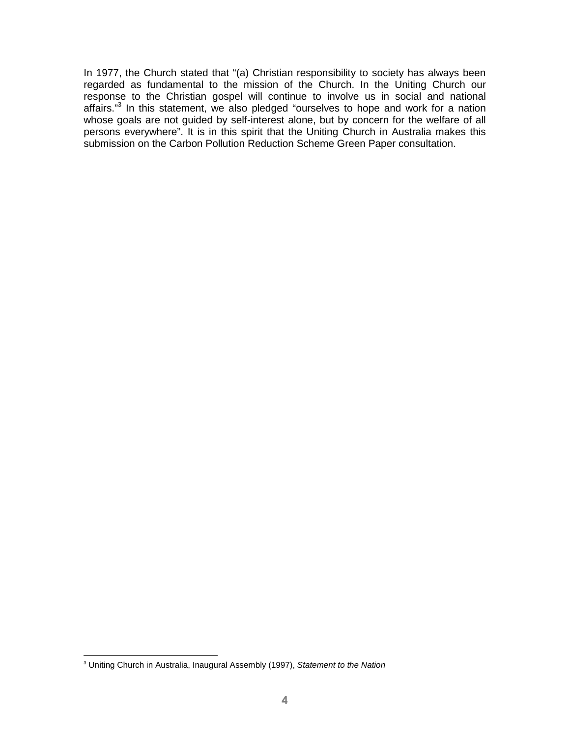In 1977, the Church stated that "(a) Christian responsibility to society has always been regarded as fundamental to the mission of the Church. In the Uniting Church our response to the Christian gospel will continue to involve us in social and national affairs."<sup>3</sup> In this statement, we also pledged "ourselves to hope and work for a nation whose goals are not guided by self-interest alone, but by concern for the welfare of all persons everywhere". It is in this spirit that the Uniting Church in Australia makes this submission on the Carbon Pollution Reduction Scheme Green Paper consultation.

 3 Uniting Church in Australia, Inaugural Assembly (1997), Statement to the Nation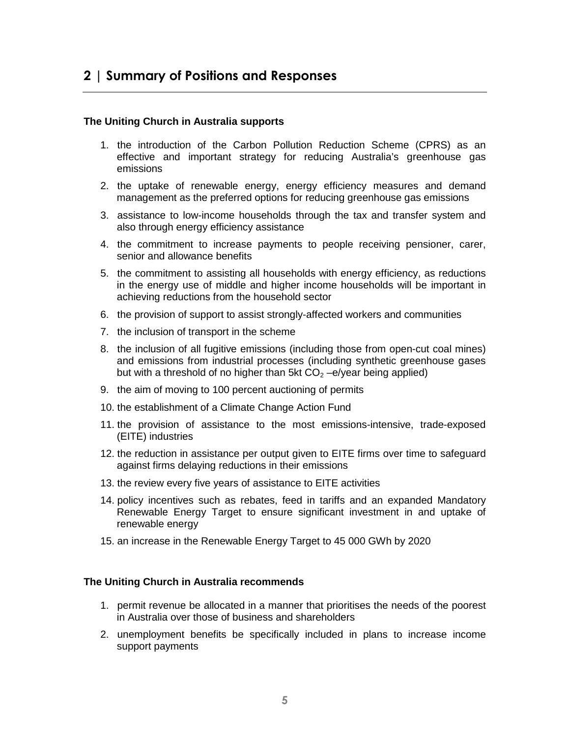## 2 | Summary of Positions and Responses

#### **The Uniting Church in Australia supports**

- 1. the introduction of the Carbon Pollution Reduction Scheme (CPRS) as an effective and important strategy for reducing Australia's greenhouse gas emissions
- 2. the uptake of renewable energy, energy efficiency measures and demand management as the preferred options for reducing greenhouse gas emissions
- 3. assistance to low-income households through the tax and transfer system and also through energy efficiency assistance
- 4. the commitment to increase payments to people receiving pensioner, carer, senior and allowance benefits
- 5. the commitment to assisting all households with energy efficiency, as reductions in the energy use of middle and higher income households will be important in achieving reductions from the household sector
- 6. the provision of support to assist strongly-affected workers and communities
- 7. the inclusion of transport in the scheme
- 8. the inclusion of all fugitive emissions (including those from open-cut coal mines) and emissions from industrial processes (including synthetic greenhouse gases but with a threshold of no higher than 5kt  $CO<sub>2</sub> -e/year$  being applied)
- 9. the aim of moving to 100 percent auctioning of permits
- 10. the establishment of a Climate Change Action Fund
- 11. the provision of assistance to the most emissions-intensive, trade-exposed (EITE) industries
- 12. the reduction in assistance per output given to EITE firms over time to safeguard against firms delaying reductions in their emissions
- 13. the review every five years of assistance to EITE activities
- 14. policy incentives such as rebates, feed in tariffs and an expanded Mandatory Renewable Energy Target to ensure significant investment in and uptake of renewable energy
- 15. an increase in the Renewable Energy Target to 45 000 GWh by 2020

#### **The Uniting Church in Australia recommends**

- 1. permit revenue be allocated in a manner that prioritises the needs of the poorest in Australia over those of business and shareholders
- 2. unemployment benefits be specifically included in plans to increase income support payments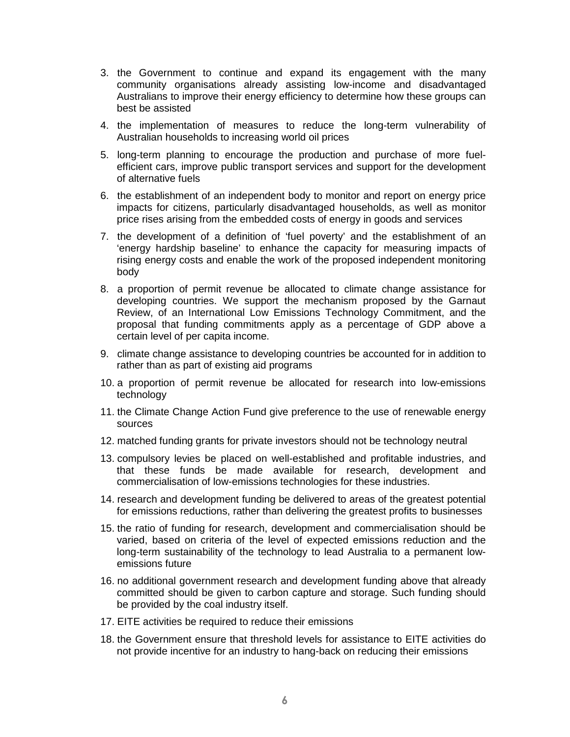- 3. the Government to continue and expand its engagement with the many community organisations already assisting low-income and disadvantaged Australians to improve their energy efficiency to determine how these groups can best be assisted
- 4. the implementation of measures to reduce the long-term vulnerability of Australian households to increasing world oil prices
- 5. long-term planning to encourage the production and purchase of more fuelefficient cars, improve public transport services and support for the development of alternative fuels
- 6. the establishment of an independent body to monitor and report on energy price impacts for citizens, particularly disadvantaged households, as well as monitor price rises arising from the embedded costs of energy in goods and services
- 7. the development of a definition of 'fuel poverty' and the establishment of an 'energy hardship baseline' to enhance the capacity for measuring impacts of rising energy costs and enable the work of the proposed independent monitoring body
- 8. a proportion of permit revenue be allocated to climate change assistance for developing countries. We support the mechanism proposed by the Garnaut Review, of an International Low Emissions Technology Commitment, and the proposal that funding commitments apply as a percentage of GDP above a certain level of per capita income.
- 9. climate change assistance to developing countries be accounted for in addition to rather than as part of existing aid programs
- 10. a proportion of permit revenue be allocated for research into low-emissions technology
- 11. the Climate Change Action Fund give preference to the use of renewable energy sources
- 12. matched funding grants for private investors should not be technology neutral
- 13. compulsory levies be placed on well-established and profitable industries, and that these funds be made available for research, development and commercialisation of low-emissions technologies for these industries.
- 14. research and development funding be delivered to areas of the greatest potential for emissions reductions, rather than delivering the greatest profits to businesses
- 15. the ratio of funding for research, development and commercialisation should be varied, based on criteria of the level of expected emissions reduction and the long-term sustainability of the technology to lead Australia to a permanent lowemissions future
- 16. no additional government research and development funding above that already committed should be given to carbon capture and storage. Such funding should be provided by the coal industry itself.
- 17. EITE activities be required to reduce their emissions
- 18. the Government ensure that threshold levels for assistance to EITE activities do not provide incentive for an industry to hang-back on reducing their emissions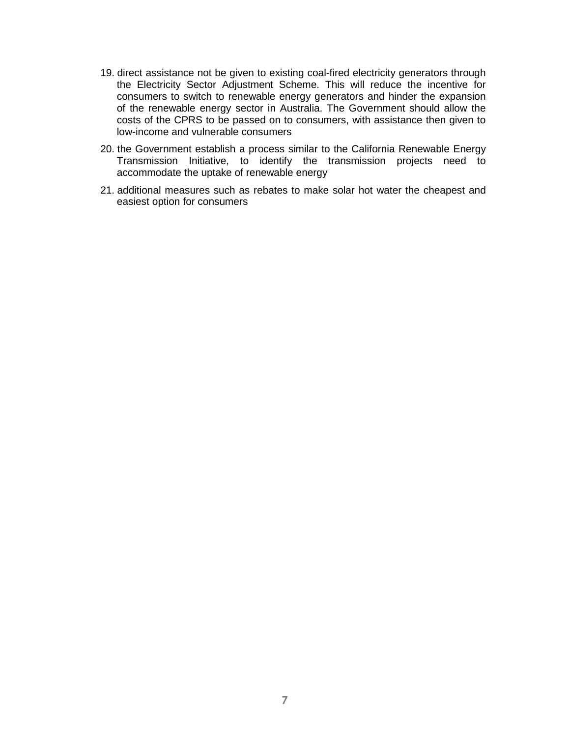- 19. direct assistance not be given to existing coal-fired electricity generators through the Electricity Sector Adjustment Scheme. This will reduce the incentive for consumers to switch to renewable energy generators and hinder the expansion of the renewable energy sector in Australia. The Government should allow the costs of the CPRS to be passed on to consumers, with assistance then given to low-income and vulnerable consumers
- 20. the Government establish a process similar to the California Renewable Energy Transmission Initiative, to identify the transmission projects need to accommodate the uptake of renewable energy
- 21. additional measures such as rebates to make solar hot water the cheapest and easiest option for consumers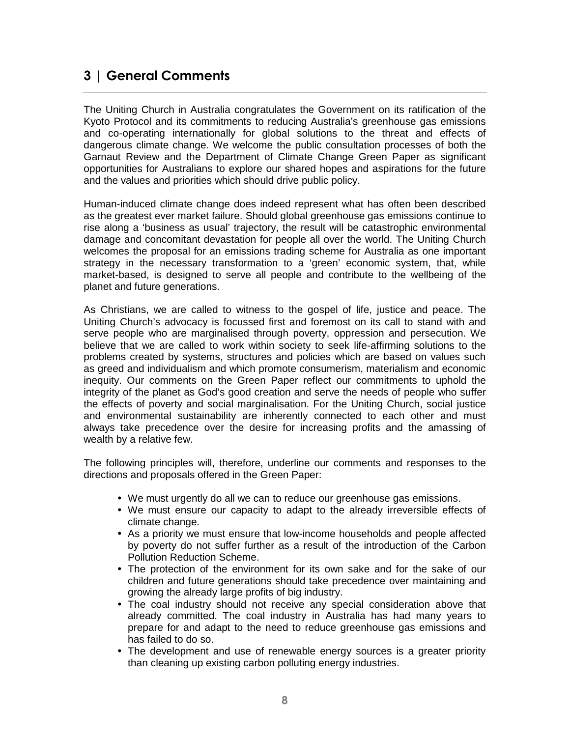## 3 | General Comments

The Uniting Church in Australia congratulates the Government on its ratification of the Kyoto Protocol and its commitments to reducing Australia's greenhouse gas emissions and co-operating internationally for global solutions to the threat and effects of dangerous climate change. We welcome the public consultation processes of both the Garnaut Review and the Department of Climate Change Green Paper as significant opportunities for Australians to explore our shared hopes and aspirations for the future and the values and priorities which should drive public policy.

Human-induced climate change does indeed represent what has often been described as the greatest ever market failure. Should global greenhouse gas emissions continue to rise along a 'business as usual' trajectory, the result will be catastrophic environmental damage and concomitant devastation for people all over the world. The Uniting Church welcomes the proposal for an emissions trading scheme for Australia as one important strategy in the necessary transformation to a 'green' economic system, that, while market-based, is designed to serve all people and contribute to the wellbeing of the planet and future generations.

As Christians, we are called to witness to the gospel of life, justice and peace. The Uniting Church's advocacy is focussed first and foremost on its call to stand with and serve people who are marginalised through poverty, oppression and persecution. We believe that we are called to work within society to seek life-affirming solutions to the problems created by systems, structures and policies which are based on values such as greed and individualism and which promote consumerism, materialism and economic inequity. Our comments on the Green Paper reflect our commitments to uphold the integrity of the planet as God's good creation and serve the needs of people who suffer the effects of poverty and social marginalisation. For the Uniting Church, social justice and environmental sustainability are inherently connected to each other and must always take precedence over the desire for increasing profits and the amassing of wealth by a relative few.

The following principles will, therefore, underline our comments and responses to the directions and proposals offered in the Green Paper:

- We must urgently do all we can to reduce our greenhouse gas emissions.
- We must ensure our capacity to adapt to the already irreversible effects of climate change.
- As a priority we must ensure that low-income households and people affected by poverty do not suffer further as a result of the introduction of the Carbon Pollution Reduction Scheme.
- The protection of the environment for its own sake and for the sake of our children and future generations should take precedence over maintaining and growing the already large profits of big industry.
- The coal industry should not receive any special consideration above that already committed. The coal industry in Australia has had many years to prepare for and adapt to the need to reduce greenhouse gas emissions and has failed to do so.
- The development and use of renewable energy sources is a greater priority than cleaning up existing carbon polluting energy industries.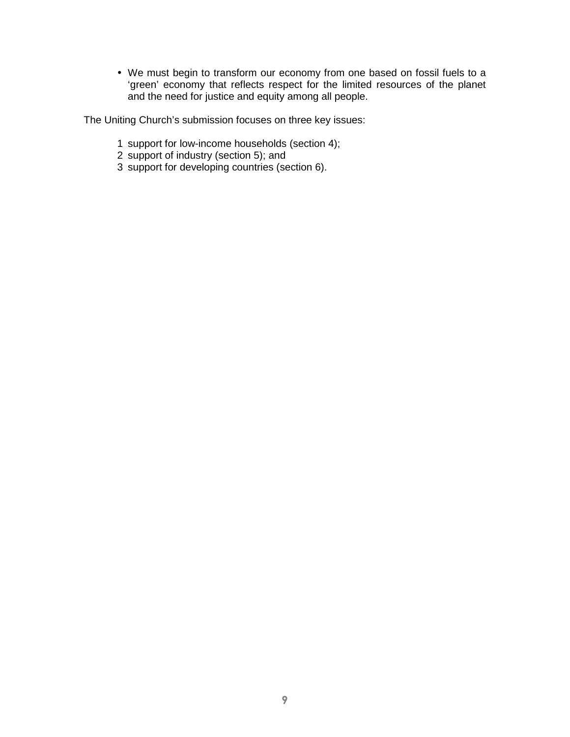We must begin to transform our economy from one based on fossil fuels to a 'green' economy that reflects respect for the limited resources of the planet and the need for justice and equity among all people.

The Uniting Church's submission focuses on three key issues:

- 1 support for low-income households (section 4);
- 2 support of industry (section 5); and
- 3 support for developing countries (section 6).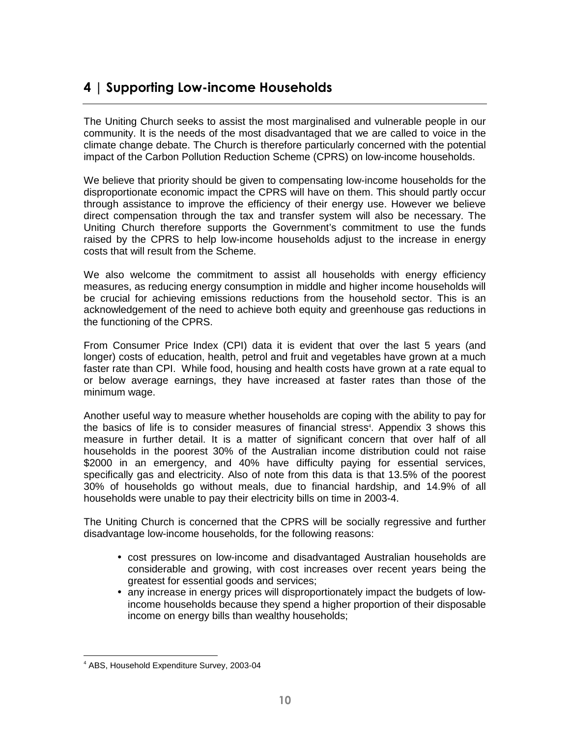## 4 | Supporting Low-income Households

The Uniting Church seeks to assist the most marginalised and vulnerable people in our community. It is the needs of the most disadvantaged that we are called to voice in the climate change debate. The Church is therefore particularly concerned with the potential impact of the Carbon Pollution Reduction Scheme (CPRS) on low-income households.

We believe that priority should be given to compensating low-income households for the disproportionate economic impact the CPRS will have on them. This should partly occur through assistance to improve the efficiency of their energy use. However we believe direct compensation through the tax and transfer system will also be necessary. The Uniting Church therefore supports the Government's commitment to use the funds raised by the CPRS to help low-income households adjust to the increase in energy costs that will result from the Scheme.

We also welcome the commitment to assist all households with energy efficiency measures, as reducing energy consumption in middle and higher income households will be crucial for achieving emissions reductions from the household sector. This is an acknowledgement of the need to achieve both equity and greenhouse gas reductions in the functioning of the CPRS.

From Consumer Price Index (CPI) data it is evident that over the last 5 years (and longer) costs of education, health, petrol and fruit and vegetables have grown at a much faster rate than CPI. While food, housing and health costs have grown at a rate equal to or below average earnings, they have increased at faster rates than those of the minimum wage.

Another useful way to measure whether households are coping with the ability to pay for the basics of life is to consider measures of financial stress<sup>4</sup>. Appendix 3 shows this measure in further detail. It is a matter of significant concern that over half of all households in the poorest 30% of the Australian income distribution could not raise \$2000 in an emergency, and 40% have difficulty paying for essential services, specifically gas and electricity. Also of note from this data is that 13.5% of the poorest 30% of households go without meals, due to financial hardship, and 14.9% of all households were unable to pay their electricity bills on time in 2003-4.

The Uniting Church is concerned that the CPRS will be socially regressive and further disadvantage low-income households, for the following reasons:

- cost pressures on low-income and disadvantaged Australian households are considerable and growing, with cost increases over recent years being the greatest for essential goods and services;
- any increase in energy prices will disproportionately impact the budgets of lowincome households because they spend a higher proportion of their disposable income on energy bills than wealthy households;

<sup>-</sup>4 ABS, Household Expenditure Survey, 2003-04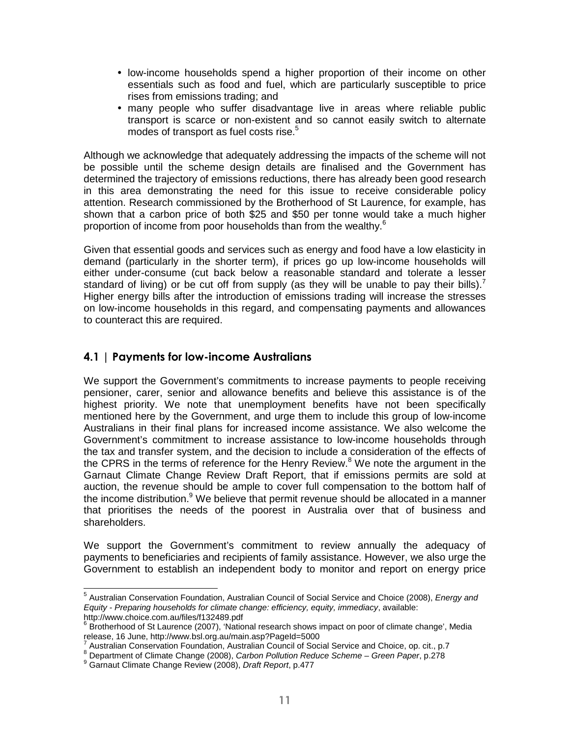- low-income households spend a higher proportion of their income on other essentials such as food and fuel, which are particularly susceptible to price rises from emissions trading; and
- many people who suffer disadvantage live in areas where reliable public transport is scarce or non-existent and so cannot easily switch to alternate modes of transport as fuel costs rise.<sup>5</sup>

Although we acknowledge that adequately addressing the impacts of the scheme will not be possible until the scheme design details are finalised and the Government has determined the trajectory of emissions reductions, there has already been good research in this area demonstrating the need for this issue to receive considerable policy attention. Research commissioned by the Brotherhood of St Laurence, for example, has shown that a carbon price of both \$25 and \$50 per tonne would take a much higher proportion of income from poor households than from the wealthy.<sup>6</sup>

Given that essential goods and services such as energy and food have a low elasticity in demand (particularly in the shorter term), if prices go up low-income households will either under-consume (cut back below a reasonable standard and tolerate a lesser standard of living) or be cut off from supply (as they will be unable to pay their bills).<sup>7</sup> Higher energy bills after the introduction of emissions trading will increase the stresses on low-income households in this regard, and compensating payments and allowances to counteract this are required.

### 4.1 | Payments for low-income Australians

We support the Government's commitments to increase payments to people receiving pensioner, carer, senior and allowance benefits and believe this assistance is of the highest priority. We note that unemployment benefits have not been specifically mentioned here by the Government, and urge them to include this group of low-income Australians in their final plans for increased income assistance. We also welcome the Government's commitment to increase assistance to low-income households through the tax and transfer system, and the decision to include a consideration of the effects of the CPRS in the terms of reference for the Henry Review. $8$  We note the argument in the Garnaut Climate Change Review Draft Report, that if emissions permits are sold at auction, the revenue should be ample to cover full compensation to the bottom half of the income distribution.<sup>9</sup> We believe that permit revenue should be allocated in a manner that prioritises the needs of the poorest in Australia over that of business and shareholders.

We support the Government's commitment to review annually the adequacy of payments to beneficiaries and recipients of family assistance. However, we also urge the Government to establish an independent body to monitor and report on energy price

<sup>&</sup>lt;sup>5</sup> Australian Conservation Foundation, Australian Council of Social Service and Choice (2008), Energy and Equity - Preparing households for climate change: efficiency, equity, immediacy, available: http://www.choice.com.au/files/f132489.pdf

<sup>&</sup>lt;sup>6</sup> Brotherhood of St Laurence (2007), 'National research shows impact on poor of climate change', Media release, 16 June, http://www.bsl.org.au/main.asp?PageId=5000

<sup>7</sup> Australian Conservation Foundation, Australian Council of Social Service and Choice, op. cit., p.7

<sup>&</sup>lt;sup>8</sup> Department of Climate Change (2008), Carbon Pollution Reduce Scheme - Green Paper, p.278

<sup>&</sup>lt;sup>9</sup> Garnaut Climate Change Review (2008), Draft Report, p.477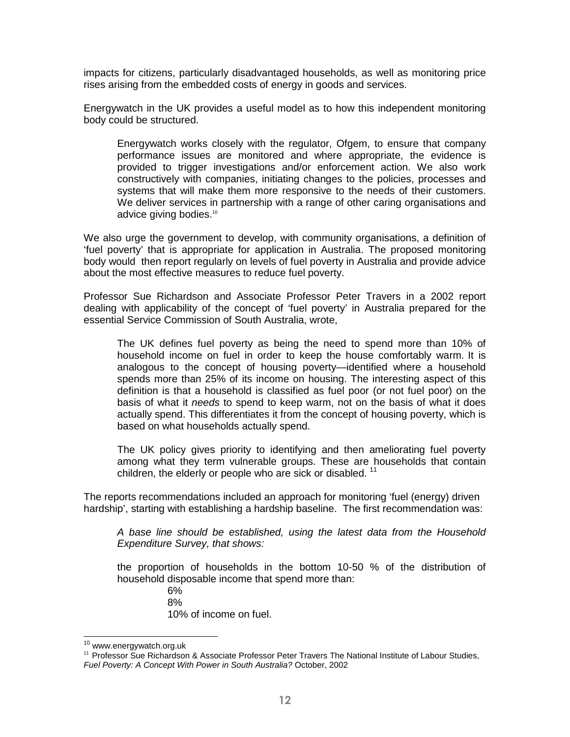impacts for citizens, particularly disadvantaged households, as well as monitoring price rises arising from the embedded costs of energy in goods and services.

Energywatch in the UK provides a useful model as to how this independent monitoring body could be structured.

Energywatch works closely with the regulator, Ofgem, to ensure that company performance issues are monitored and where appropriate, the evidence is provided to trigger investigations and/or enforcement action. We also work constructively with companies, initiating changes to the policies, processes and systems that will make them more responsive to the needs of their customers. We deliver services in partnership with a range of other caring organisations and advice giving bodies.<sup>10</sup>

We also urge the government to develop, with community organisations, a definition of 'fuel poverty' that is appropriate for application in Australia. The proposed monitoring body would then report regularly on levels of fuel poverty in Australia and provide advice about the most effective measures to reduce fuel poverty.

Professor Sue Richardson and Associate Professor Peter Travers in a 2002 report dealing with applicability of the concept of 'fuel poverty' in Australia prepared for the essential Service Commission of South Australia, wrote,

The UK defines fuel poverty as being the need to spend more than 10% of household income on fuel in order to keep the house comfortably warm. It is analogous to the concept of housing poverty—identified where a household spends more than 25% of its income on housing. The interesting aspect of this definition is that a household is classified as fuel poor (or not fuel poor) on the basis of what it needs to spend to keep warm, not on the basis of what it does actually spend. This differentiates it from the concept of housing poverty, which is based on what households actually spend.

The UK policy gives priority to identifying and then ameliorating fuel poverty among what they term vulnerable groups. These are households that contain children, the elderly or people who are sick or disabled.  $11$ 

The reports recommendations included an approach for monitoring 'fuel (energy) driven hardship', starting with establishing a hardship baseline. The first recommendation was:

A base line should be established, using the latest data from the Household Expenditure Survey, that shows:

the proportion of households in the bottom 10-50 % of the distribution of household disposable income that spend more than:

6% 8% 10% of income on fuel.

 $\overline{a}$ 

<sup>&</sup>lt;sup>10</sup> www.energywatch.org.uk

<sup>&</sup>lt;sup>11</sup> Professor Sue Richardson & Associate Professor Peter Travers The National Institute of Labour Studies, Fuel Poverty: A Concept With Power in South Australia? October, 2002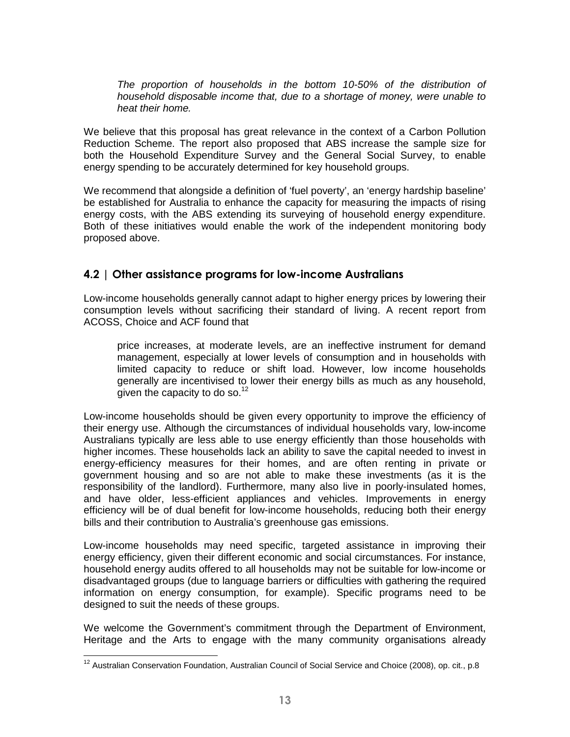The proportion of households in the bottom 10-50% of the distribution of household disposable income that, due to a shortage of money, were unable to heat their home.

We believe that this proposal has great relevance in the context of a Carbon Pollution Reduction Scheme. The report also proposed that ABS increase the sample size for both the Household Expenditure Survey and the General Social Survey, to enable energy spending to be accurately determined for key household groups.

We recommend that alongside a definition of 'fuel poverty', an 'energy hardship baseline' be established for Australia to enhance the capacity for measuring the impacts of rising energy costs, with the ABS extending its surveying of household energy expenditure. Both of these initiatives would enable the work of the independent monitoring body proposed above.

### 4.2 | Other assistance programs for low-income Australians

Low-income households generally cannot adapt to higher energy prices by lowering their consumption levels without sacrificing their standard of living. A recent report from ACOSS, Choice and ACF found that

price increases, at moderate levels, are an ineffective instrument for demand management, especially at lower levels of consumption and in households with limited capacity to reduce or shift load. However, low income households generally are incentivised to lower their energy bills as much as any household, given the capacity to do so. $12$ 

Low-income households should be given every opportunity to improve the efficiency of their energy use. Although the circumstances of individual households vary, low-income Australians typically are less able to use energy efficiently than those households with higher incomes. These households lack an ability to save the capital needed to invest in energy-efficiency measures for their homes, and are often renting in private or government housing and so are not able to make these investments (as it is the responsibility of the landlord). Furthermore, many also live in poorly-insulated homes, and have older, less-efficient appliances and vehicles. Improvements in energy efficiency will be of dual benefit for low-income households, reducing both their energy bills and their contribution to Australia's greenhouse gas emissions.

Low-income households may need specific, targeted assistance in improving their energy efficiency, given their different economic and social circumstances. For instance, household energy audits offered to all households may not be suitable for low-income or disadvantaged groups (due to language barriers or difficulties with gathering the required information on energy consumption, for example). Specific programs need to be designed to suit the needs of these groups.

We welcome the Government's commitment through the Department of Environment, Heritage and the Arts to engage with the many community organisations already

  $12$  Australian Conservation Foundation, Australian Council of Social Service and Choice (2008), op. cit., p.8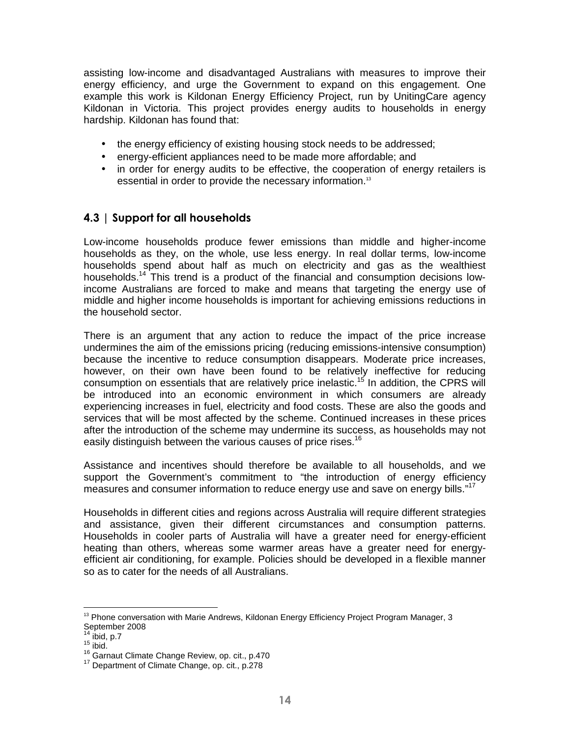assisting low-income and disadvantaged Australians with measures to improve their energy efficiency, and urge the Government to expand on this engagement. One example this work is Kildonan Energy Efficiency Project, run by UnitingCare agency Kildonan in Victoria. This project provides energy audits to households in energy hardship. Kildonan has found that:

- the energy efficiency of existing housing stock needs to be addressed;
- energy-efficient appliances need to be made more affordable; and
- in order for energy audits to be effective, the cooperation of energy retailers is essential in order to provide the necessary information.<sup>13</sup>

### 4.3 | Support for all households

Low-income households produce fewer emissions than middle and higher-income households as they, on the whole, use less energy. In real dollar terms, low-income households spend about half as much on electricity and gas as the wealthiest households.<sup>14</sup> This trend is a product of the financial and consumption decisions lowincome Australians are forced to make and means that targeting the energy use of middle and higher income households is important for achieving emissions reductions in the household sector.

There is an argument that any action to reduce the impact of the price increase undermines the aim of the emissions pricing (reducing emissions-intensive consumption) because the incentive to reduce consumption disappears. Moderate price increases, however, on their own have been found to be relatively ineffective for reducing consumption on essentials that are relatively price inelastic.<sup>15</sup> In addition, the CPRS will be introduced into an economic environment in which consumers are already experiencing increases in fuel, electricity and food costs. These are also the goods and services that will be most affected by the scheme. Continued increases in these prices after the introduction of the scheme may undermine its success, as households may not easily distinguish between the various causes of price rises.<sup>16</sup>

Assistance and incentives should therefore be available to all households, and we support the Government's commitment to "the introduction of energy efficiency measures and consumer information to reduce energy use and save on energy bills."<sup>17</sup>

Households in different cities and regions across Australia will require different strategies and assistance, given their different circumstances and consumption patterns. Households in cooler parts of Australia will have a greater need for energy-efficient heating than others, whereas some warmer areas have a greater need for energyefficient air conditioning, for example. Policies should be developed in a flexible manner so as to cater for the needs of all Australians.

 $13$  Phone conversation with Marie Andrews, Kildonan Energy Efficiency Project Program Manager, 3 September 2008

 $14$  ibid, p.7

 $15$  ibid.

<sup>16</sup> Garnaut Climate Change Review, op. cit., p.470

<sup>&</sup>lt;sup>17</sup> Department of Climate Change, op. cit., p.278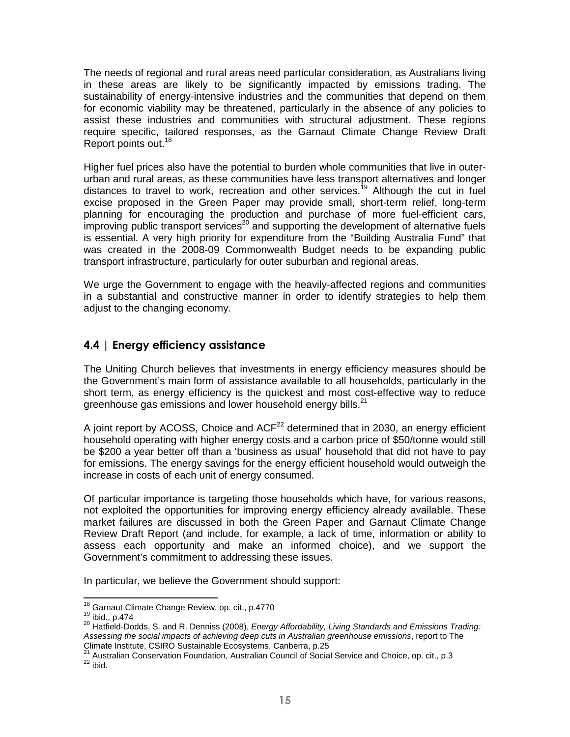The needs of regional and rural areas need particular consideration, as Australians living in these areas are likely to be significantly impacted by emissions trading. The sustainability of energy-intensive industries and the communities that depend on them for economic viability may be threatened, particularly in the absence of any policies to assist these industries and communities with structural adjustment. These regions require specific, tailored responses, as the Garnaut Climate Change Review Draft Report points out.<sup>18</sup>

Higher fuel prices also have the potential to burden whole communities that live in outerurban and rural areas, as these communities have less transport alternatives and longer distances to travel to work, recreation and other services.<sup>19</sup> Although the cut in fuel excise proposed in the Green Paper may provide small, short-term relief, long-term planning for encouraging the production and purchase of more fuel-efficient cars,  $\frac{1}{2}$  improving public transport services<sup>20</sup> and supporting the development of alternative fuels is essential. A very high priority for expenditure from the "Building Australia Fund" that was created in the 2008-09 Commonwealth Budget needs to be expanding public transport infrastructure, particularly for outer suburban and regional areas.

We urge the Government to engage with the heavily-affected regions and communities in a substantial and constructive manner in order to identify strategies to help them adjust to the changing economy.

### 4.4 | Energy efficiency assistance

The Uniting Church believes that investments in energy efficiency measures should be the Government's main form of assistance available to all households, particularly in the short term, as energy efficiency is the quickest and most cost-effective way to reduce greenhouse gas emissions and lower household energy bills. $^{21}$ 

A joint report by ACOSS, Choice and  $ACF<sup>22</sup>$  determined that in 2030, an energy efficient household operating with higher energy costs and a carbon price of \$50/tonne would still be \$200 a year better off than a 'business as usual' household that did not have to pay for emissions. The energy savings for the energy efficient household would outweigh the increase in costs of each unit of energy consumed.

Of particular importance is targeting those households which have, for various reasons, not exploited the opportunities for improving energy efficiency already available. These market failures are discussed in both the Green Paper and Garnaut Climate Change Review Draft Report (and include, for example, a lack of time, information or ability to assess each opportunity and make an informed choice), and we support the Government's commitment to addressing these issues.

In particular, we believe the Government should support:

<sup>&</sup>lt;sup>18</sup> Garnaut Climate Change Review, op. cit., p.4770

 $19$  ibid., p.474

<sup>20</sup> Hatfield-Dodds, S. and R. Denniss (2008), Energy Affordability, Living Standards and Emissions Trading: Assessing the social impacts of achieving deep cuts in Australian greenhouse emissions, report to The Climate Institute, CSIRO Sustainable Ecosystems, Canberra, p.25

<sup>&</sup>lt;sup>21</sup> Australian Conservation Foundation, Australian Council of Social Service and Choice, op. cit., p.3  $^{22}$  ibid.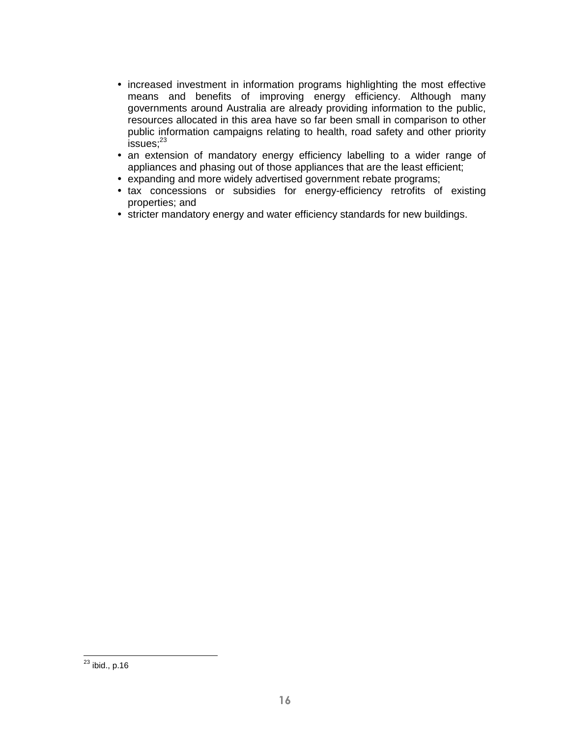- increased investment in information programs highlighting the most effective means and benefits of improving energy efficiency. Although many governments around Australia are already providing information to the public, resources allocated in this area have so far been small in comparison to other public information campaigns relating to health, road safety and other priority  $issues;^{23}$
- an extension of mandatory energy efficiency labelling to a wider range of appliances and phasing out of those appliances that are the least efficient;
- expanding and more widely advertised government rebate programs;
- tax concessions or subsidies for energy-efficiency retrofits of existing properties; and
- stricter mandatory energy and water efficiency standards for new buildings.

<sup>-</sup> $^{23}$  ibid., p.16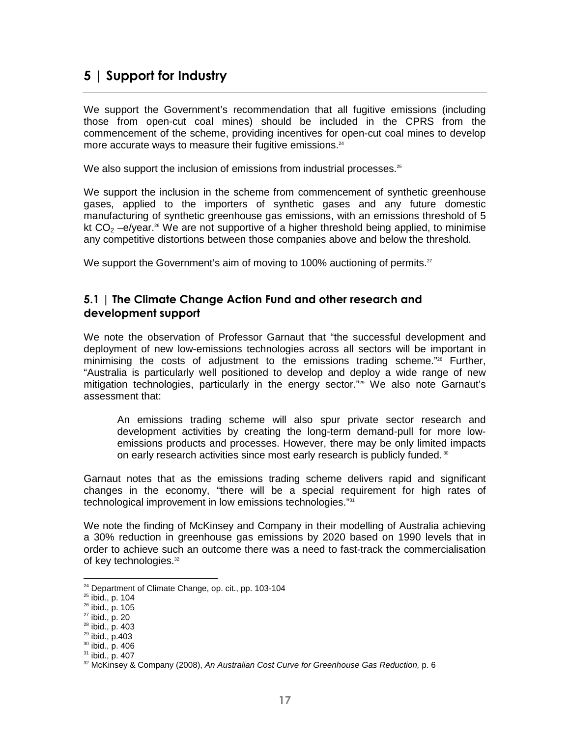## 5 | Support for Industry

We support the Government's recommendation that all fugitive emissions (including those from open-cut coal mines) should be included in the CPRS from the commencement of the scheme, providing incentives for open-cut coal mines to develop more accurate ways to measure their fugitive emissions.<sup>24</sup>

We also support the inclusion of emissions from industrial processes.<sup>25</sup>

We support the inclusion in the scheme from commencement of synthetic greenhouse gases, applied to the importers of synthetic gases and any future domestic manufacturing of synthetic greenhouse gas emissions, with an emissions threshold of 5 kt  $CO<sub>2</sub> -e/year.<sup>26</sup>$  We are not supportive of a higher threshold being applied, to minimise any competitive distortions between those companies above and below the threshold.

We support the Government's aim of moving to 100% auctioning of permits.<sup>27</sup>

#### 5.1 | The Climate Change Action Fund and other research and development support

We note the observation of Professor Garnaut that "the successful development and deployment of new low-emissions technologies across all sectors will be important in minimising the costs of adjustment to the emissions trading scheme." $28$  Further, "Australia is particularly well positioned to develop and deploy a wide range of new mitigation technologies, particularly in the energy sector."<sup>29</sup> We also note Garnaut's assessment that:

An emissions trading scheme will also spur private sector research and development activities by creating the long-term demand-pull for more lowemissions products and processes. However, there may be only limited impacts on early research activities since most early research is publicly funded.<sup>30</sup>

Garnaut notes that as the emissions trading scheme delivers rapid and significant changes in the economy, "there will be a special requirement for high rates of technological improvement in low emissions technologies."<sup>31</sup>

We note the finding of McKinsey and Company in their modelling of Australia achieving a 30% reduction in greenhouse gas emissions by 2020 based on 1990 levels that in order to achieve such an outcome there was a need to fast-track the commercialisation of key technologies.<sup>32</sup>

<sup>&</sup>lt;sup>24</sup> Department of Climate Change, op. cit., pp. 103-104

 $25$  ibid., p. 104

<sup>26</sup> ibid., p. 105

<sup>27</sup> ibid., p. 20

<sup>28</sup> ibid., p. 403

<sup>29</sup> ibid., p.403

<sup>30</sup> ibid., p. 406

<sup>31</sup> ibid., p. 407

 $32$  McKinsey & Company (2008), An Australian Cost Curve for Greenhouse Gas Reduction, p. 6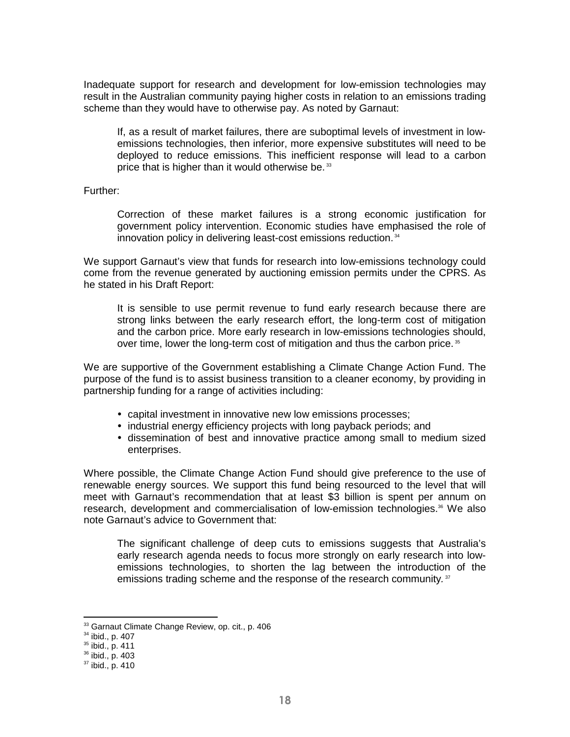Inadequate support for research and development for low-emission technologies may result in the Australian community paying higher costs in relation to an emissions trading scheme than they would have to otherwise pay. As noted by Garnaut:

If, as a result of market failures, there are suboptimal levels of investment in lowemissions technologies, then inferior, more expensive substitutes will need to be deployed to reduce emissions. This inefficient response will lead to a carbon price that is higher than it would otherwise be.<sup>33</sup>

Further:

Correction of these market failures is a strong economic justification for government policy intervention. Economic studies have emphasised the role of innovation policy in delivering least-cost emissions reduction.<sup>34</sup>

We support Garnaut's view that funds for research into low-emissions technology could come from the revenue generated by auctioning emission permits under the CPRS. As he stated in his Draft Report:

It is sensible to use permit revenue to fund early research because there are strong links between the early research effort, the long-term cost of mitigation and the carbon price. More early research in low-emissions technologies should, over time, lower the long-term cost of mitigation and thus the carbon price.<sup>35</sup>

We are supportive of the Government establishing a Climate Change Action Fund. The purpose of the fund is to assist business transition to a cleaner economy, by providing in partnership funding for a range of activities including:

- capital investment in innovative new low emissions processes;
- industrial energy efficiency projects with long payback periods; and
- dissemination of best and innovative practice among small to medium sized enterprises.

Where possible, the Climate Change Action Fund should give preference to the use of renewable energy sources. We support this fund being resourced to the level that will meet with Garnaut's recommendation that at least \$3 billion is spent per annum on research, development and commercialisation of low-emission technologies.<sup>36</sup> We also note Garnaut's advice to Government that:

The significant challenge of deep cuts to emissions suggests that Australia's early research agenda needs to focus more strongly on early research into lowemissions technologies, to shorten the lag between the introduction of the emissions trading scheme and the response of the research community. $37$ 

<sup>&</sup>lt;sup>33</sup> Garnaut Climate Change Review, op. cit., p. 406

<sup>34</sup> ibid., p. 407

<sup>35</sup> ibid., p. 411

<sup>36</sup> ibid., p. 403

 $37$  ibid., p. 410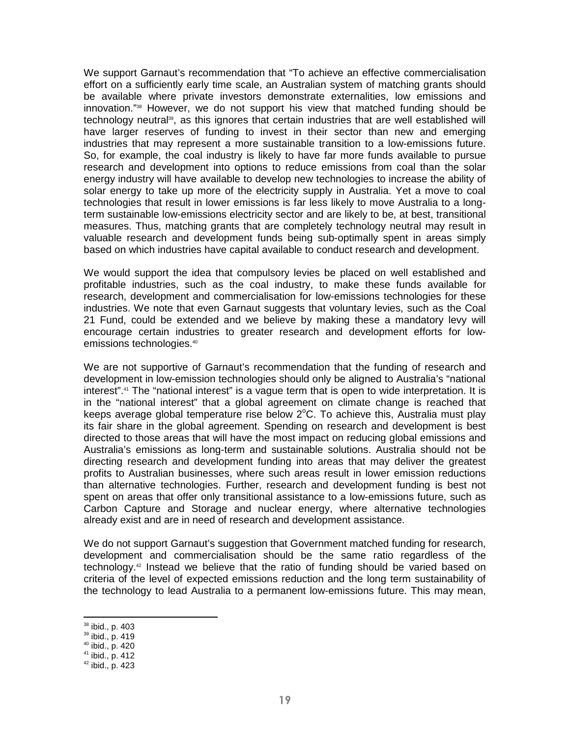We support Garnaut's recommendation that "To achieve an effective commercialisation effort on a sufficiently early time scale, an Australian system of matching grants should be available where private investors demonstrate externalities, low emissions and innovation."38 However, we do not support his view that matched funding should be technology neutral<sup>39</sup>, as this ignores that certain industries that are well established will have larger reserves of funding to invest in their sector than new and emerging industries that may represent a more sustainable transition to a low-emissions future. So, for example, the coal industry is likely to have far more funds available to pursue research and development into options to reduce emissions from coal than the solar energy industry will have available to develop new technologies to increase the ability of solar energy to take up more of the electricity supply in Australia. Yet a move to coal technologies that result in lower emissions is far less likely to move Australia to a longterm sustainable low-emissions electricity sector and are likely to be, at best, transitional measures. Thus, matching grants that are completely technology neutral may result in valuable research and development funds being sub-optimally spent in areas simply based on which industries have capital available to conduct research and development.

We would support the idea that compulsory levies be placed on well established and profitable industries, such as the coal industry, to make these funds available for research, development and commercialisation for low-emissions technologies for these industries. We note that even Garnaut suggests that voluntary levies, such as the Coal 21 Fund, could be extended and we believe by making these a mandatory levy will encourage certain industries to greater research and development efforts for lowemissions technologies.<sup>40</sup>

We are not supportive of Garnaut's recommendation that the funding of research and development in low-emission technologies should only be aligned to Australia's "national interest".41 The "national interest" is a vague term that is open to wide interpretation. It is in the "national interest" that a global agreement on climate change is reached that keeps average global temperature rise below  $2^{\circ}$ C. To achieve this, Australia must play its fair share in the global agreement. Spending on research and development is best directed to those areas that will have the most impact on reducing global emissions and Australia's emissions as long-term and sustainable solutions. Australia should not be directing research and development funding into areas that may deliver the greatest profits to Australian businesses, where such areas result in lower emission reductions than alternative technologies. Further, research and development funding is best not spent on areas that offer only transitional assistance to a low-emissions future, such as Carbon Capture and Storage and nuclear energy, where alternative technologies already exist and are in need of research and development assistance.

We do not support Garnaut's suggestion that Government matched funding for research, development and commercialisation should be the same ratio regardless of the technology.42 Instead we believe that the ratio of funding should be varied based on criteria of the level of expected emissions reduction and the long term sustainability of the technology to lead Australia to a permanent low-emissions future. This may mean,

<sup>&</sup>lt;sup>38</sup> ibid., p. 403

<sup>39</sup> ibid., p. 419

<sup>40</sup> ibid., p. 420

<sup>41</sup> ibid., p. 412

 $42$  ibid., p. 423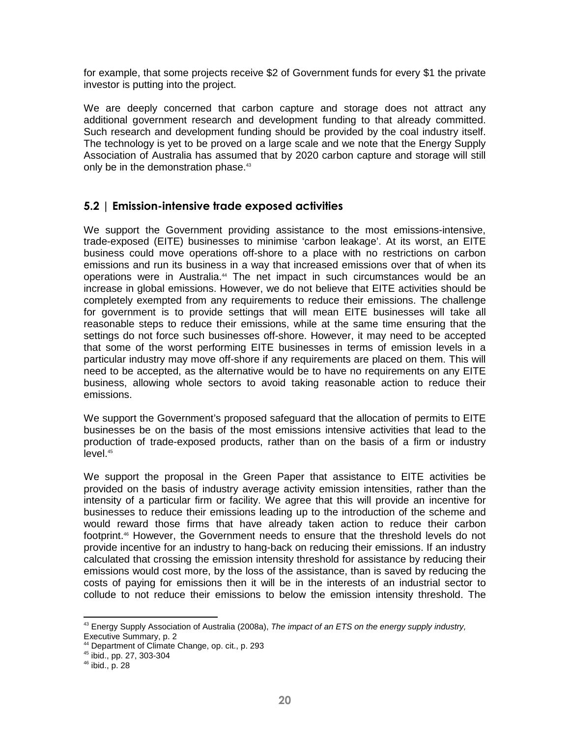for example, that some projects receive \$2 of Government funds for every \$1 the private investor is putting into the project.

We are deeply concerned that carbon capture and storage does not attract any additional government research and development funding to that already committed. Such research and development funding should be provided by the coal industry itself. The technology is yet to be proved on a large scale and we note that the Energy Supply Association of Australia has assumed that by 2020 carbon capture and storage will still only be in the demonstration phase.<sup>43</sup>

### 5.2 | Emission-intensive trade exposed activities

We support the Government providing assistance to the most emissions-intensive, trade-exposed (EITE) businesses to minimise 'carbon leakage'. At its worst, an EITE business could move operations off-shore to a place with no restrictions on carbon emissions and run its business in a way that increased emissions over that of when its operations were in Australia.<sup>44</sup> The net impact in such circumstances would be an increase in global emissions. However, we do not believe that EITE activities should be completely exempted from any requirements to reduce their emissions. The challenge for government is to provide settings that will mean EITE businesses will take all reasonable steps to reduce their emissions, while at the same time ensuring that the settings do not force such businesses off-shore. However, it may need to be accepted that some of the worst performing EITE businesses in terms of emission levels in a particular industry may move off-shore if any requirements are placed on them. This will need to be accepted, as the alternative would be to have no requirements on any EITE business, allowing whole sectors to avoid taking reasonable action to reduce their emissions.

We support the Government's proposed safeguard that the allocation of permits to EITE businesses be on the basis of the most emissions intensive activities that lead to the production of trade-exposed products, rather than on the basis of a firm or industry level.<sup>45</sup>

We support the proposal in the Green Paper that assistance to EITE activities be provided on the basis of industry average activity emission intensities, rather than the intensity of a particular firm or facility. We agree that this will provide an incentive for businesses to reduce their emissions leading up to the introduction of the scheme and would reward those firms that have already taken action to reduce their carbon footprint.<sup>46</sup> However, the Government needs to ensure that the threshold levels do not provide incentive for an industry to hang-back on reducing their emissions. If an industry calculated that crossing the emission intensity threshold for assistance by reducing their emissions would cost more, by the loss of the assistance, than is saved by reducing the costs of paying for emissions then it will be in the interests of an industrial sector to collude to not reduce their emissions to below the emission intensity threshold. The

 $43$  Energy Supply Association of Australia (2008a), The impact of an ETS on the energy supply industry, Executive Summary, p. 2

<sup>44</sup> Department of Climate Change, op. cit., p. 293

<sup>45</sup> ibid., pp. 27, 303-304

<sup>46</sup> ibid., p. 28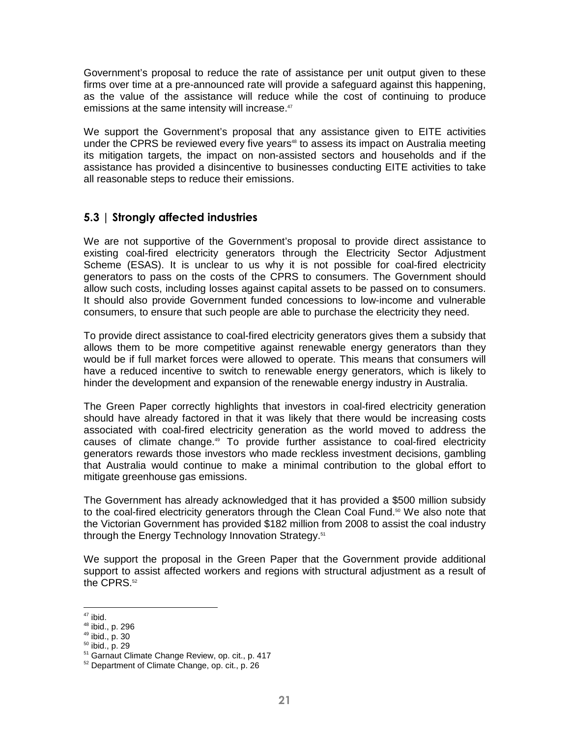Government's proposal to reduce the rate of assistance per unit output given to these firms over time at a pre-announced rate will provide a safeguard against this happening, as the value of the assistance will reduce while the cost of continuing to produce emissions at the same intensity will increase.<sup>47</sup>

We support the Government's proposal that any assistance given to EITE activities under the CPRS be reviewed every five years<sup>48</sup> to assess its impact on Australia meeting its mitigation targets, the impact on non-assisted sectors and households and if the assistance has provided a disincentive to businesses conducting EITE activities to take all reasonable steps to reduce their emissions.

### 5.3 | Strongly affected industries

We are not supportive of the Government's proposal to provide direct assistance to existing coal-fired electricity generators through the Electricity Sector Adjustment Scheme (ESAS). It is unclear to us why it is not possible for coal-fired electricity generators to pass on the costs of the CPRS to consumers. The Government should allow such costs, including losses against capital assets to be passed on to consumers. It should also provide Government funded concessions to low-income and vulnerable consumers, to ensure that such people are able to purchase the electricity they need.

To provide direct assistance to coal-fired electricity generators gives them a subsidy that allows them to be more competitive against renewable energy generators than they would be if full market forces were allowed to operate. This means that consumers will have a reduced incentive to switch to renewable energy generators, which is likely to hinder the development and expansion of the renewable energy industry in Australia.

The Green Paper correctly highlights that investors in coal-fired electricity generation should have already factored in that it was likely that there would be increasing costs associated with coal-fired electricity generation as the world moved to address the causes of climate change.<sup>49</sup> To provide further assistance to coal-fired electricity generators rewards those investors who made reckless investment decisions, gambling that Australia would continue to make a minimal contribution to the global effort to mitigate greenhouse gas emissions.

The Government has already acknowledged that it has provided a \$500 million subsidy to the coal-fired electricity generators through the Clean Coal Fund.<sup>50</sup> We also note that the Victorian Government has provided \$182 million from 2008 to assist the coal industry through the Energy Technology Innovation Strategy.<sup>51</sup>

We support the proposal in the Green Paper that the Government provide additional support to assist affected workers and regions with structural adjustment as a result of the CPRS.<sup>52</sup>

<sup>-</sup> $47$  ibid.

<sup>48</sup> ibid., p. 296

<sup>49</sup> ibid., p. 30

<sup>50</sup> ibid., p. 29

<sup>&</sup>lt;sup>51</sup> Garnaut Climate Change Review, op. cit., p. 417

<sup>52</sup> Department of Climate Change, op. cit., p. 26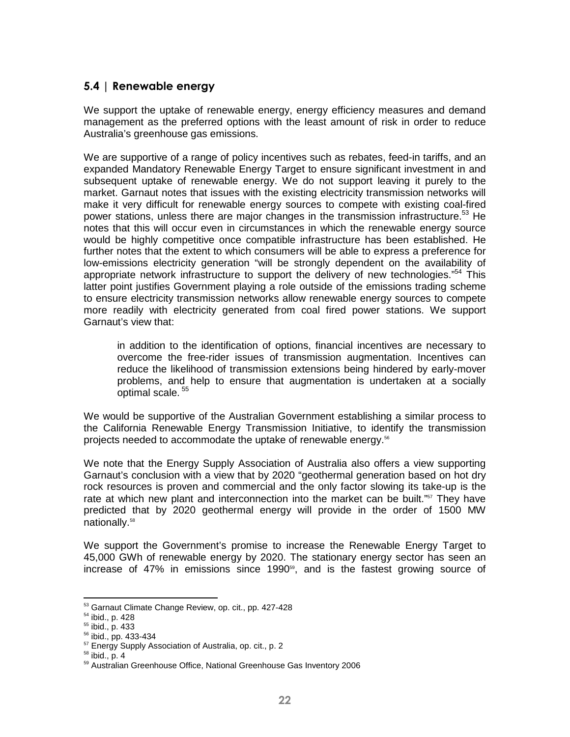### 5.4 | Renewable energy

We support the uptake of renewable energy, energy efficiency measures and demand management as the preferred options with the least amount of risk in order to reduce Australia's greenhouse gas emissions.

We are supportive of a range of policy incentives such as rebates, feed-in tariffs, and an expanded Mandatory Renewable Energy Target to ensure significant investment in and subsequent uptake of renewable energy. We do not support leaving it purely to the market. Garnaut notes that issues with the existing electricity transmission networks will make it very difficult for renewable energy sources to compete with existing coal-fired power stations, unless there are major changes in the transmission infrastructure.<sup>53</sup> He notes that this will occur even in circumstances in which the renewable energy source would be highly competitive once compatible infrastructure has been established. He further notes that the extent to which consumers will be able to express a preference for low-emissions electricity generation "will be strongly dependent on the availability of appropriate network infrastructure to support the delivery of new technologies."<sup>54</sup> This latter point justifies Government playing a role outside of the emissions trading scheme to ensure electricity transmission networks allow renewable energy sources to compete more readily with electricity generated from coal fired power stations. We support Garnaut's view that:

in addition to the identification of options, financial incentives are necessary to overcome the free-rider issues of transmission augmentation. Incentives can reduce the likelihood of transmission extensions being hindered by early-mover problems, and help to ensure that augmentation is undertaken at a socially optimal scale.<sup>55</sup>

We would be supportive of the Australian Government establishing a similar process to the California Renewable Energy Transmission Initiative, to identify the transmission projects needed to accommodate the uptake of renewable energy.<sup>56</sup>

We note that the Energy Supply Association of Australia also offers a view supporting Garnaut's conclusion with a view that by 2020 "geothermal generation based on hot dry rock resources is proven and commercial and the only factor slowing its take-up is the rate at which new plant and interconnection into the market can be built." $57$  They have predicted that by 2020 geothermal energy will provide in the order of 1500 MW nationally.<sup>58</sup>

We support the Government's promise to increase the Renewable Energy Target to 45,000 GWh of renewable energy by 2020. The stationary energy sector has seen an increase of 47% in emissions since 1990<sup>59</sup>, and is the fastest growing source of

<sup>&</sup>lt;sup>53</sup> Garnaut Climate Change Review, op. cit., pp. 427-428

<sup>54</sup> ibid., p. 428

<sup>55</sup> ibid., p. 433

<sup>56</sup> ibid., pp. 433-434

<sup>57</sup> Energy Supply Association of Australia, op. cit., p. 2

 $58$  ibid., p. 4

<sup>59</sup> Australian Greenhouse Office, National Greenhouse Gas Inventory 2006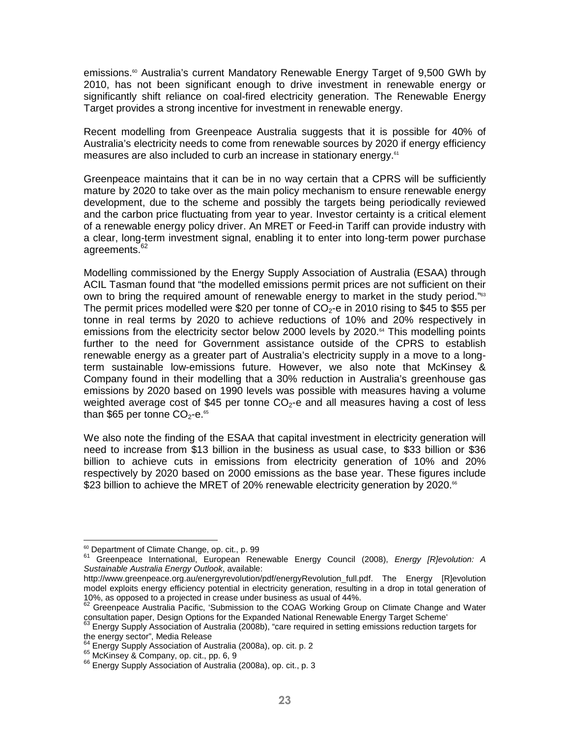emissions.<sup>®</sup> Australia's current Mandatory Renewable Energy Target of 9,500 GWh by 2010, has not been significant enough to drive investment in renewable energy or significantly shift reliance on coal-fired electricity generation. The Renewable Energy Target provides a strong incentive for investment in renewable energy.

Recent modelling from Greenpeace Australia suggests that it is possible for 40% of Australia's electricity needs to come from renewable sources by 2020 if energy efficiency measures are also included to curb an increase in stationary energy.<sup>61</sup>

Greenpeace maintains that it can be in no way certain that a CPRS will be sufficiently mature by 2020 to take over as the main policy mechanism to ensure renewable energy development, due to the scheme and possibly the targets being periodically reviewed and the carbon price fluctuating from year to year. Investor certainty is a critical element of a renewable energy policy driver. An MRET or Feed-in Tariff can provide industry with a clear, long-term investment signal, enabling it to enter into long-term power purchase agreements.<sup>62</sup>

Modelling commissioned by the Energy Supply Association of Australia (ESAA) through ACIL Tasman found that "the modelled emissions permit prices are not sufficient on their own to bring the required amount of renewable energy to market in the study period."<sup>63</sup> The permit prices modelled were \$20 per tonne of  $CO<sub>2</sub>$ -e in 2010 rising to \$45 to \$55 per tonne in real terms by 2020 to achieve reductions of 10% and 20% respectively in emissions from the electricity sector below 2000 levels by  $2020.64$  This modelling points further to the need for Government assistance outside of the CPRS to establish renewable energy as a greater part of Australia's electricity supply in a move to a longterm sustainable low-emissions future. However, we also note that McKinsey & Company found in their modelling that a 30% reduction in Australia's greenhouse gas emissions by 2020 based on 1990 levels was possible with measures having a volume weighted average cost of \$45 per tonne  $CO<sub>2</sub>$ -e and all measures having a cost of less than \$65 per tonne CO<sub>2</sub>-e. $^{65}$ 

We also note the finding of the ESAA that capital investment in electricity generation will need to increase from \$13 billion in the business as usual case, to \$33 billion or \$36 billion to achieve cuts in emissions from electricity generation of 10% and 20% respectively by 2020 based on 2000 emissions as the base year. These figures include \$23 billion to achieve the MRET of 20% renewable electricity generation by 2020.<sup>66</sup>

 $\overline{a}$ 

<sup>&</sup>lt;sup>60</sup> Department of Climate Change, op. cit., p. 99

<sup>&</sup>lt;sup>61</sup> Greenpeace International, European Renewable Energy Council (2008), *Energy [R]evolution: A* Sustainable Australia Energy Outlook, available:

http://www.greenpeace.org.au/energyrevolution/pdf/energyRevolution\_full.pdf. The Energy [R]evolution model exploits energy efficiency potential in electricity generation, resulting in a drop in total generation of 10%, as opposed to a projected in crease under business as usual of 44%.

<sup>62</sup> Greenpeace Australia Pacific, 'Submission to the COAG Working Group on Climate Change and Water consultation paper, Design Options for the Expanded National Renewable Energy Target Scheme'

<sup>63</sup> Energy Supply Association of Australia (2008b), "care required in setting emissions reduction targets for the energy sector", Media Release

<sup>&</sup>lt;sup>64</sup> Energy Supply Association of Australia (2008a), op. cit. p. 2

<sup>&</sup>lt;sup>65</sup> McKinsey & Company, op. cit., pp. 6, 9

<sup>&</sup>lt;sup>66</sup> Energy Supply Association of Australia (2008a), op. cit., p. 3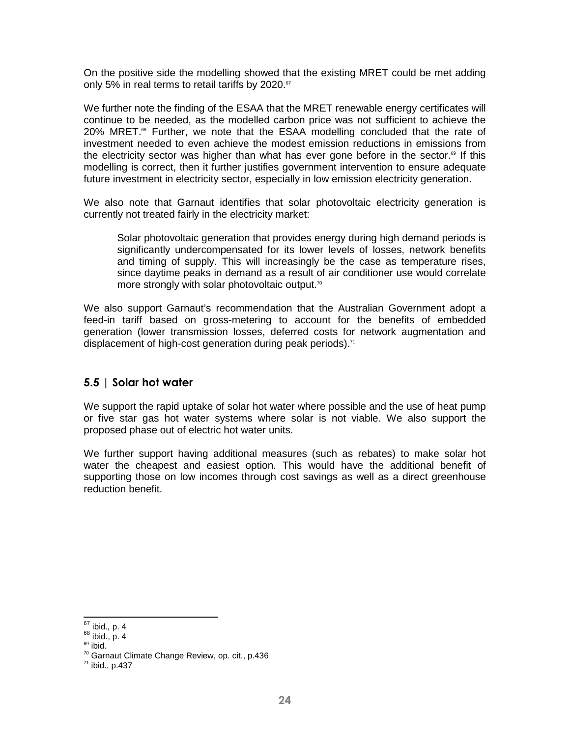On the positive side the modelling showed that the existing MRET could be met adding only 5% in real terms to retail tariffs by 2020. $57$ 

We further note the finding of the ESAA that the MRET renewable energy certificates will continue to be needed, as the modelled carbon price was not sufficient to achieve the  $20\%$  MRET. $85$  Further, we note that the ESAA modelling concluded that the rate of investment needed to even achieve the modest emission reductions in emissions from the electricity sector was higher than what has ever gone before in the sector.<sup>®</sup> If this modelling is correct, then it further justifies government intervention to ensure adequate future investment in electricity sector, especially in low emission electricity generation.

We also note that Garnaut identifies that solar photovoltaic electricity generation is currently not treated fairly in the electricity market:

Solar photovoltaic generation that provides energy during high demand periods is significantly undercompensated for its lower levels of losses, network benefits and timing of supply. This will increasingly be the case as temperature rises, since daytime peaks in demand as a result of air conditioner use would correlate more strongly with solar photovoltaic output.<sup>70</sup>

We also support Garnaut's recommendation that the Australian Government adopt a feed-in tariff based on gross-metering to account for the benefits of embedded generation (lower transmission losses, deferred costs for network augmentation and displacement of high-cost generation during peak periods). $71$ 

#### 5.5 | Solar hot water

We support the rapid uptake of solar hot water where possible and the use of heat pump or five star gas hot water systems where solar is not viable. We also support the proposed phase out of electric hot water units.

We further support having additional measures (such as rebates) to make solar hot water the cheapest and easiest option. This would have the additional benefit of supporting those on low incomes through cost savings as well as a direct greenhouse reduction benefit.

<sup>-</sup> $67$  ibid., p. 4

 $68$  ibid., p. 4

 $69$  ibid.

<sup>70</sup> Garnaut Climate Change Review, op. cit., p.436

<sup>71</sup> ibid., p.437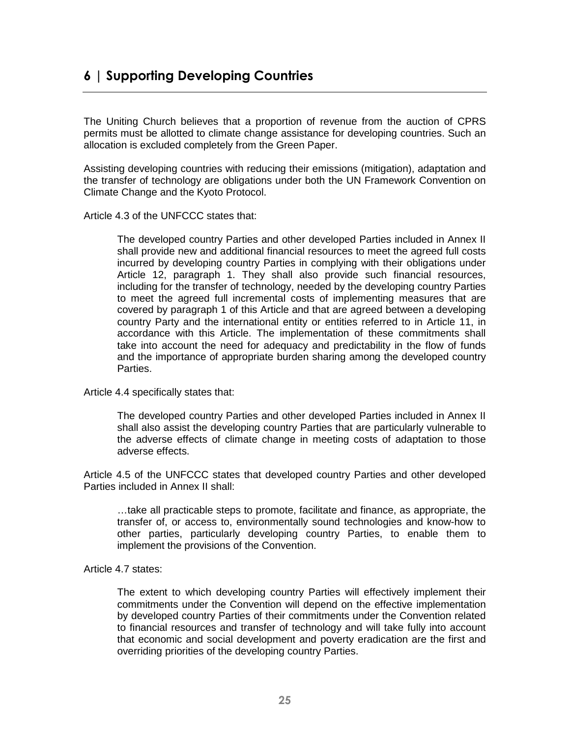## 6 | Supporting Developing Countries

The Uniting Church believes that a proportion of revenue from the auction of CPRS permits must be allotted to climate change assistance for developing countries. Such an allocation is excluded completely from the Green Paper.

Assisting developing countries with reducing their emissions (mitigation), adaptation and the transfer of technology are obligations under both the UN Framework Convention on Climate Change and the Kyoto Protocol.

Article 4.3 of the UNFCCC states that:

The developed country Parties and other developed Parties included in Annex II shall provide new and additional financial resources to meet the agreed full costs incurred by developing country Parties in complying with their obligations under Article 12, paragraph 1. They shall also provide such financial resources, including for the transfer of technology, needed by the developing country Parties to meet the agreed full incremental costs of implementing measures that are covered by paragraph 1 of this Article and that are agreed between a developing country Party and the international entity or entities referred to in Article 11, in accordance with this Article. The implementation of these commitments shall take into account the need for adequacy and predictability in the flow of funds and the importance of appropriate burden sharing among the developed country Parties.

Article 4.4 specifically states that:

The developed country Parties and other developed Parties included in Annex II shall also assist the developing country Parties that are particularly vulnerable to the adverse effects of climate change in meeting costs of adaptation to those adverse effects.

Article 4.5 of the UNFCCC states that developed country Parties and other developed Parties included in Annex II shall:

…take all practicable steps to promote, facilitate and finance, as appropriate, the transfer of, or access to, environmentally sound technologies and know-how to other parties, particularly developing country Parties, to enable them to implement the provisions of the Convention.

Article 4.7 states:

The extent to which developing country Parties will effectively implement their commitments under the Convention will depend on the effective implementation by developed country Parties of their commitments under the Convention related to financial resources and transfer of technology and will take fully into account that economic and social development and poverty eradication are the first and overriding priorities of the developing country Parties.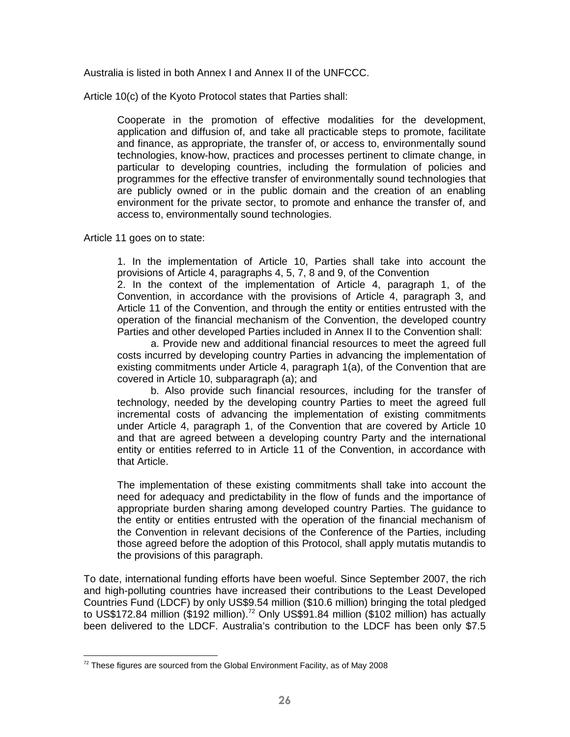Australia is listed in both Annex I and Annex II of the UNFCCC.

Article 10(c) of the Kyoto Protocol states that Parties shall:

Cooperate in the promotion of effective modalities for the development, application and diffusion of, and take all practicable steps to promote, facilitate and finance, as appropriate, the transfer of, or access to, environmentally sound technologies, know-how, practices and processes pertinent to climate change, in particular to developing countries, including the formulation of policies and programmes for the effective transfer of environmentally sound technologies that are publicly owned or in the public domain and the creation of an enabling environment for the private sector, to promote and enhance the transfer of, and access to, environmentally sound technologies.

Article 11 goes on to state:

1. In the implementation of Article 10, Parties shall take into account the provisions of Article 4, paragraphs 4, 5, 7, 8 and 9, of the Convention

2. In the context of the implementation of Article 4, paragraph 1, of the Convention, in accordance with the provisions of Article 4, paragraph 3, and Article 11 of the Convention, and through the entity or entities entrusted with the operation of the financial mechanism of the Convention, the developed country Parties and other developed Parties included in Annex II to the Convention shall:

a. Provide new and additional financial resources to meet the agreed full costs incurred by developing country Parties in advancing the implementation of existing commitments under Article 4, paragraph 1(a), of the Convention that are covered in Article 10, subparagraph (a); and

b. Also provide such financial resources, including for the transfer of technology, needed by the developing country Parties to meet the agreed full incremental costs of advancing the implementation of existing commitments under Article 4, paragraph 1, of the Convention that are covered by Article 10 and that are agreed between a developing country Party and the international entity or entities referred to in Article 11 of the Convention, in accordance with that Article.

The implementation of these existing commitments shall take into account the need for adequacy and predictability in the flow of funds and the importance of appropriate burden sharing among developed country Parties. The guidance to the entity or entities entrusted with the operation of the financial mechanism of the Convention in relevant decisions of the Conference of the Parties, including those agreed before the adoption of this Protocol, shall apply mutatis mutandis to the provisions of this paragraph.

To date, international funding efforts have been woeful. Since September 2007, the rich and high-polluting countries have increased their contributions to the Least Developed Countries Fund (LDCF) by only US\$9.54 million (\$10.6 million) bringing the total pledged to US\$172.84 million (\$192 million).<sup>72</sup> Only US\$91.84 million (\$102 million) has actually been delivered to the LDCF. Australia's contribution to the LDCF has been only \$7.5

<sup>-</sup> $72$  These figures are sourced from the Global Environment Facility, as of May 2008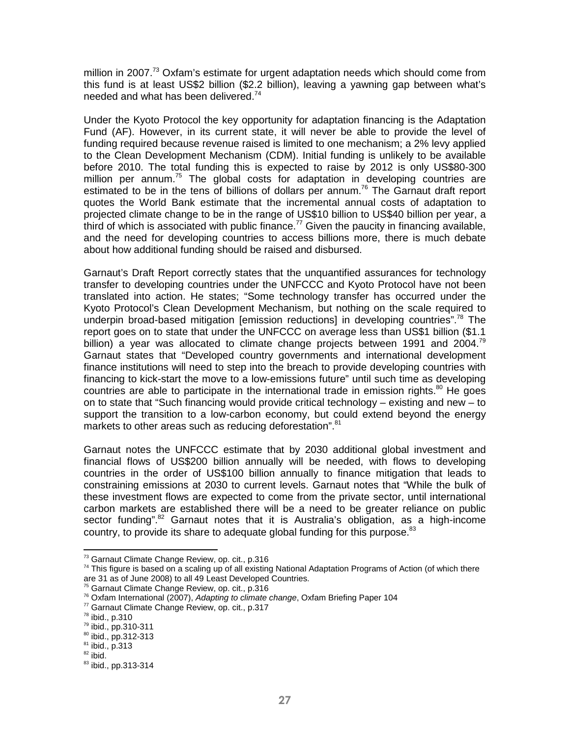million in 2007.<sup>73</sup> Oxfam's estimate for urgent adaptation needs which should come from this fund is at least US\$2 billion (\$2.2 billion), leaving a yawning gap between what's needed and what has been delivered.<sup>74</sup>

Under the Kyoto Protocol the key opportunity for adaptation financing is the Adaptation Fund (AF). However, in its current state, it will never be able to provide the level of funding required because revenue raised is limited to one mechanism; a 2% levy applied to the Clean Development Mechanism (CDM). Initial funding is unlikely to be available before 2010. The total funding this is expected to raise by 2012 is only US\$80-300 million per annum.<sup>75</sup> The global costs for adaptation in developing countries are estimated to be in the tens of billions of dollars per annum.<sup>76</sup> The Garnaut draft report quotes the World Bank estimate that the incremental annual costs of adaptation to projected climate change to be in the range of US\$10 billion to US\$40 billion per year, a third of which is associated with public finance.<sup>77</sup> Given the paucity in financing available, and the need for developing countries to access billions more, there is much debate about how additional funding should be raised and disbursed.

Garnaut's Draft Report correctly states that the unquantified assurances for technology transfer to developing countries under the UNFCCC and Kyoto Protocol have not been translated into action. He states; "Some technology transfer has occurred under the Kyoto Protocol's Clean Development Mechanism, but nothing on the scale required to underpin broad-based mitigation [emission reductions] in developing countries".<sup>78</sup> The report goes on to state that under the UNFCCC on average less than US\$1 billion (\$1.1 billion) a year was allocated to climate change projects between 1991 and 2004.<sup>79</sup> Garnaut states that "Developed country governments and international development finance institutions will need to step into the breach to provide developing countries with financing to kick-start the move to a low-emissions future" until such time as developing countries are able to participate in the international trade in emission rights. $80$  He goes on to state that "Such financing would provide critical technology – existing and new – to support the transition to a low-carbon economy, but could extend beyond the energy markets to other areas such as reducing deforestation".<sup>81</sup>

Garnaut notes the UNFCCC estimate that by 2030 additional global investment and financial flows of US\$200 billion annually will be needed, with flows to developing countries in the order of US\$100 billion annually to finance mitigation that leads to constraining emissions at 2030 to current levels. Garnaut notes that "While the bulk of these investment flows are expected to come from the private sector, until international carbon markets are established there will be a need to be greater reliance on public sector funding". $82$  Garnaut notes that it is Australia's obligation, as a high-income country, to provide its share to adequate global funding for this purpose. $^{83}$ 

 $\overline{a}$ 

<sup>&</sup>lt;sup>73</sup> Garnaut Climate Change Review, op. cit., p.316

 $74$  This figure is based on a scaling up of all existing National Adaptation Programs of Action (of which there are 31 as of June 2008) to all 49 Least Developed Countries.

<sup>75</sup> Garnaut Climate Change Review, op. cit., p.316

 $76$  Oxfam International (2007), Adapting to climate change, Oxfam Briefing Paper 104

<sup>77</sup> Garnaut Climate Change Review, op. cit., p.317

<sup>78</sup> ibid., p.310

<sup>79</sup> ibid., pp.310-311

<sup>80</sup> ibid., pp.312-313

<sup>81</sup> ibid., p.313

 $82$  ibid.

<sup>83</sup> ibid., pp.313-314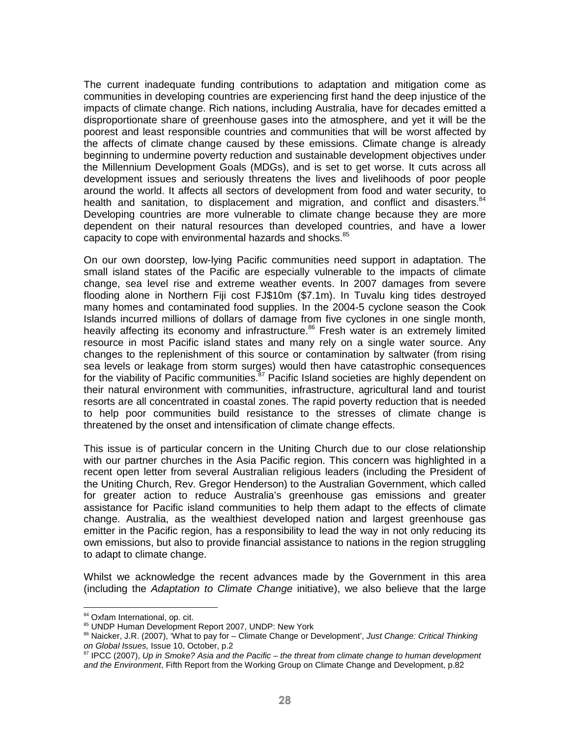The current inadequate funding contributions to adaptation and mitigation come as communities in developing countries are experiencing first hand the deep injustice of the impacts of climate change. Rich nations, including Australia, have for decades emitted a disproportionate share of greenhouse gases into the atmosphere, and yet it will be the poorest and least responsible countries and communities that will be worst affected by the affects of climate change caused by these emissions. Climate change is already beginning to undermine poverty reduction and sustainable development objectives under the Millennium Development Goals (MDGs), and is set to get worse. It cuts across all development issues and seriously threatens the lives and livelihoods of poor people around the world. It affects all sectors of development from food and water security, to health and sanitation, to displacement and migration, and conflict and disasters.<sup>84</sup> Developing countries are more vulnerable to climate change because they are more dependent on their natural resources than developed countries, and have a lower capacity to cope with environmental hazards and shocks.<sup>85</sup>

On our own doorstep, low-lying Pacific communities need support in adaptation. The small island states of the Pacific are especially vulnerable to the impacts of climate change, sea level rise and extreme weather events. In 2007 damages from severe flooding alone in Northern Fiji cost FJ\$10m (\$7.1m). In Tuvalu king tides destroyed many homes and contaminated food supplies. In the 2004-5 cyclone season the Cook Islands incurred millions of dollars of damage from five cyclones in one single month, heavily affecting its economy and infrastructure.<sup>86</sup> Fresh water is an extremely limited resource in most Pacific island states and many rely on a single water source. Any changes to the replenishment of this source or contamination by saltwater (from rising sea levels or leakage from storm surges) would then have catastrophic consequences for the viability of Pacific communities.<sup>87</sup> Pacific Island societies are highly dependent on their natural environment with communities, infrastructure, agricultural land and tourist resorts are all concentrated in coastal zones. The rapid poverty reduction that is needed to help poor communities build resistance to the stresses of climate change is threatened by the onset and intensification of climate change effects.

This issue is of particular concern in the Uniting Church due to our close relationship with our partner churches in the Asia Pacific region. This concern was highlighted in a recent open letter from several Australian religious leaders (including the President of the Uniting Church, Rev. Gregor Henderson) to the Australian Government, which called for greater action to reduce Australia's greenhouse gas emissions and greater assistance for Pacific island communities to help them adapt to the effects of climate change. Australia, as the wealthiest developed nation and largest greenhouse gas emitter in the Pacific region, has a responsibility to lead the way in not only reducing its own emissions, but also to provide financial assistance to nations in the region struggling to adapt to climate change.

Whilst we acknowledge the recent advances made by the Government in this area (including the Adaptation to Climate Change initiative), we also believe that the large

<sup>&</sup>lt;sup>84</sup> Oxfam International, op. cit.

<sup>85</sup> UNDP Human Development Report 2007, UNDP: New York

<sup>86</sup> Naicker, J.R. (2007), 'What to pay for – Climate Change or Development', Just Change: Critical Thinking on Global Issues, Issue 10, October, p.2

<sup>&</sup>lt;sup>87</sup> IPCC (2007), Up in Smoke? Asia and the Pacific – the threat from climate change to human development and the Environment, Fifth Report from the Working Group on Climate Change and Development, p.82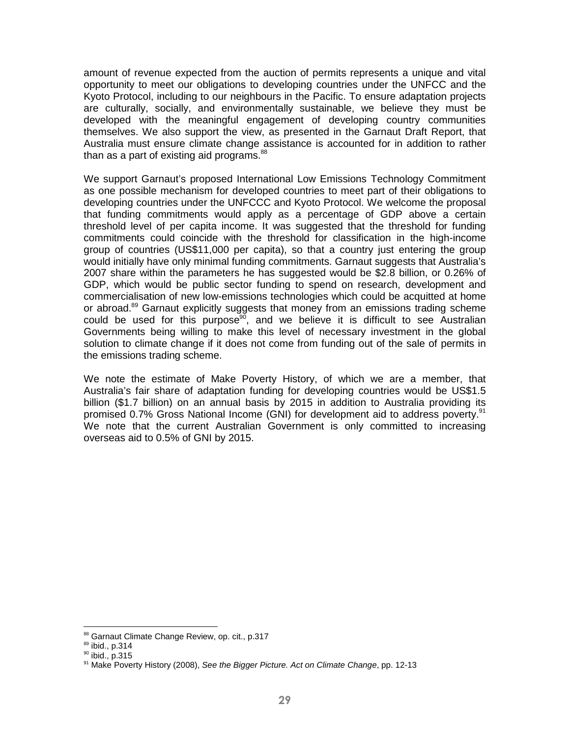amount of revenue expected from the auction of permits represents a unique and vital opportunity to meet our obligations to developing countries under the UNFCC and the Kyoto Protocol, including to our neighbours in the Pacific. To ensure adaptation projects are culturally, socially, and environmentally sustainable, we believe they must be developed with the meaningful engagement of developing country communities themselves. We also support the view, as presented in the Garnaut Draft Report, that Australia must ensure climate change assistance is accounted for in addition to rather than as a part of existing aid programs.<sup>88</sup>

We support Garnaut's proposed International Low Emissions Technology Commitment as one possible mechanism for developed countries to meet part of their obligations to developing countries under the UNFCCC and Kyoto Protocol. We welcome the proposal that funding commitments would apply as a percentage of GDP above a certain threshold level of per capita income. It was suggested that the threshold for funding commitments could coincide with the threshold for classification in the high-income group of countries (US\$11,000 per capita), so that a country just entering the group would initially have only minimal funding commitments. Garnaut suggests that Australia's 2007 share within the parameters he has suggested would be \$2.8 billion, or 0.26% of GDP, which would be public sector funding to spend on research, development and commercialisation of new low-emissions technologies which could be acquitted at home or abroad.<sup>89</sup> Garnaut explicitly suggests that money from an emissions trading scheme could be used for this purpose<sup>90</sup>, and we believe it is difficult to see Australian Governments being willing to make this level of necessary investment in the global solution to climate change if it does not come from funding out of the sale of permits in the emissions trading scheme.

We note the estimate of Make Poverty History, of which we are a member, that Australia's fair share of adaptation funding for developing countries would be US\$1.5 billion (\$1.7 billion) on an annual basis by 2015 in addition to Australia providing its promised 0.7% Gross National Income (GNI) for development aid to address poverty.<sup>91</sup> We note that the current Australian Government is only committed to increasing overseas aid to 0.5% of GNI by 2015.

<sup>88</sup> Garnaut Climate Change Review, op. cit., p.317

<sup>89</sup> ibid., p.314

<sup>90</sup> ibid., p.315

<sup>&</sup>lt;sup>91</sup> Make Poverty History (2008), See the Bigger Picture. Act on Climate Change, pp. 12-13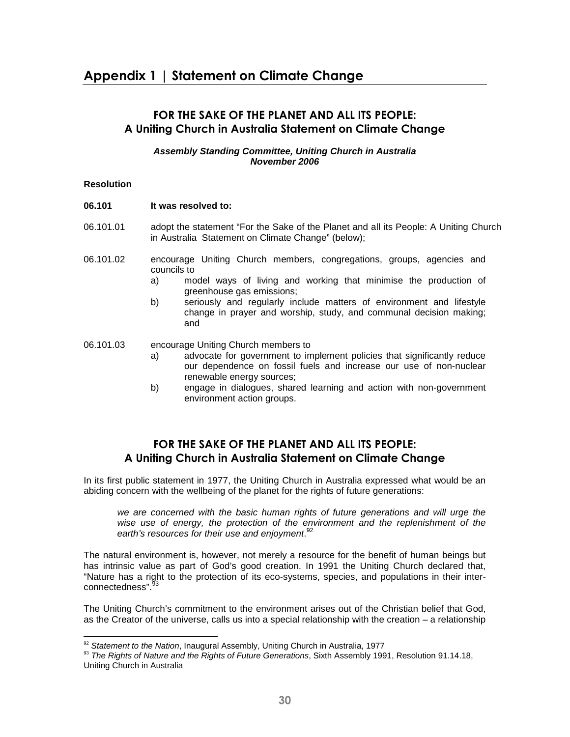## Appendix 1 | Statement on Climate Change

#### FOR THE SAKE OF THE PLANET AND ALL ITS PEOPLE: A Uniting Church in Australia Statement on Climate Change

#### **Assembly Standing Committee, Uniting Church in Australia November 2006**

#### **Resolution**

-

- **06.101 It was resolved to:**
- 06.101.01 adopt the statement "For the Sake of the Planet and all its People: A Uniting Church in Australia Statement on Climate Change" (below);
- 06.101.02 encourage Uniting Church members, congregations, groups, agencies and councils to
	- a) model ways of living and working that minimise the production of greenhouse gas emissions;
	- b) seriously and regularly include matters of environment and lifestyle change in prayer and worship, study, and communal decision making; and
- 06.101.03 encourage Uniting Church members to
	- a) advocate for government to implement policies that significantly reduce our dependence on fossil fuels and increase our use of non-nuclear renewable energy sources;
	- b) engage in dialogues, shared learning and action with non-government environment action groups.

### FOR THE SAKE OF THE PLANET AND ALL ITS PEOPLE: A Uniting Church in Australia Statement on Climate Change

In its first public statement in 1977, the Uniting Church in Australia expressed what would be an abiding concern with the wellbeing of the planet for the rights of future generations:

we are concerned with the basic human rights of future generations and will urge the wise use of energy, the protection of the environment and the replenishment of the earth's resources for their use and enjoyment.<sup>92</sup>

The natural environment is, however, not merely a resource for the benefit of human beings but has intrinsic value as part of God's good creation. In 1991 the Uniting Church declared that, "Nature has a right to the protection of its eco-systems, species, and populations in their interconnectedness".

The Uniting Church's commitment to the environment arises out of the Christian belief that God, as the Creator of the universe, calls us into a special relationship with the creation – a relationship

 $92$  Statement to the Nation, Inaugural Assembly, Uniting Church in Australia, 1977

<sup>93</sup> The Rights of Nature and the Rights of Future Generations, Sixth Assembly 1991, Resolution 91.14.18, Uniting Church in Australia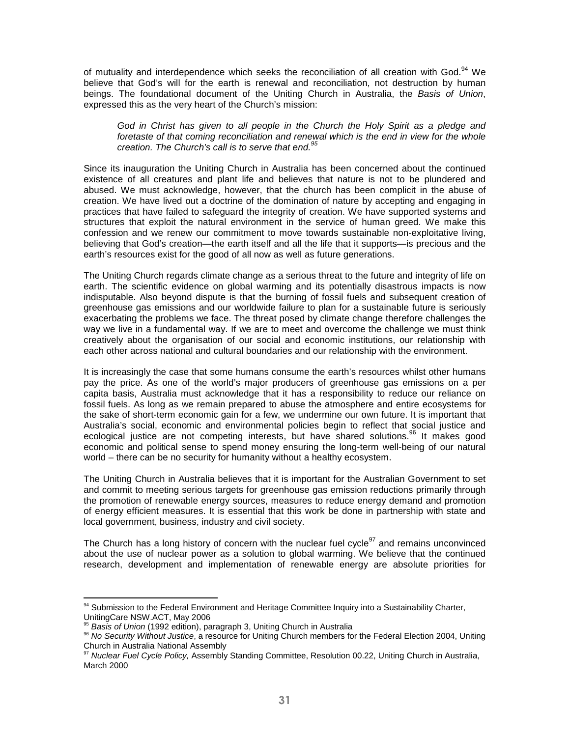of mutuality and interdependence which seeks the reconciliation of all creation with God.<sup>94</sup> We believe that God's will for the earth is renewal and reconciliation, not destruction by human beings. The foundational document of the Uniting Church in Australia, the Basis of Union, expressed this as the very heart of the Church's mission:

God in Christ has given to all people in the Church the Holy Spirit as a pledge and foretaste of that coming reconciliation and renewal which is the end in view for the whole creation. The Church's call is to serve that end. $95$ 

Since its inauguration the Uniting Church in Australia has been concerned about the continued existence of all creatures and plant life and believes that nature is not to be plundered and abused. We must acknowledge, however, that the church has been complicit in the abuse of creation. We have lived out a doctrine of the domination of nature by accepting and engaging in practices that have failed to safeguard the integrity of creation. We have supported systems and structures that exploit the natural environment in the service of human greed. We make this confession and we renew our commitment to move towards sustainable non-exploitative living, believing that God's creation—the earth itself and all the life that it supports—is precious and the earth's resources exist for the good of all now as well as future generations.

The Uniting Church regards climate change as a serious threat to the future and integrity of life on earth. The scientific evidence on global warming and its potentially disastrous impacts is now indisputable. Also beyond dispute is that the burning of fossil fuels and subsequent creation of greenhouse gas emissions and our worldwide failure to plan for a sustainable future is seriously exacerbating the problems we face. The threat posed by climate change therefore challenges the way we live in a fundamental way. If we are to meet and overcome the challenge we must think creatively about the organisation of our social and economic institutions, our relationship with each other across national and cultural boundaries and our relationship with the environment.

It is increasingly the case that some humans consume the earth's resources whilst other humans pay the price. As one of the world's major producers of greenhouse gas emissions on a per capita basis, Australia must acknowledge that it has a responsibility to reduce our reliance on fossil fuels. As long as we remain prepared to abuse the atmosphere and entire ecosystems for the sake of short-term economic gain for a few, we undermine our own future. It is important that Australia's social, economic and environmental policies begin to reflect that social justice and ecological justice are not competing interests, but have shared solutions.<sup>96</sup> It makes good economic and political sense to spend money ensuring the long-term well-being of our natural world – there can be no security for humanity without a healthy ecosystem.

The Uniting Church in Australia believes that it is important for the Australian Government to set and commit to meeting serious targets for greenhouse gas emission reductions primarily through the promotion of renewable energy sources, measures to reduce energy demand and promotion of energy efficient measures. It is essential that this work be done in partnership with state and local government, business, industry and civil society.

The Church has a long history of concern with the nuclear fuel cycle<sup>97</sup> and remains unconvinced about the use of nuclear power as a solution to global warming. We believe that the continued research, development and implementation of renewable energy are absolute priorities for

<sup>&</sup>lt;sup>94</sup> Submission to the Federal Environment and Heritage Committee Inquiry into a Sustainability Charter, UnitingCare NSW.ACT, May 2006

<sup>&</sup>lt;sup>95</sup> Basis of Union (1992 edition), paragraph 3, Uniting Church in Australia

<sup>&</sup>lt;sup>96</sup> No Security Without Justice, a resource for Uniting Church members for the Federal Election 2004, Uniting Church in Australia National Assembly

<sup>&</sup>lt;sup>7</sup> Nuclear Fuel Cycle Policy, Assembly Standing Committee, Resolution 00.22, Uniting Church in Australia, March 2000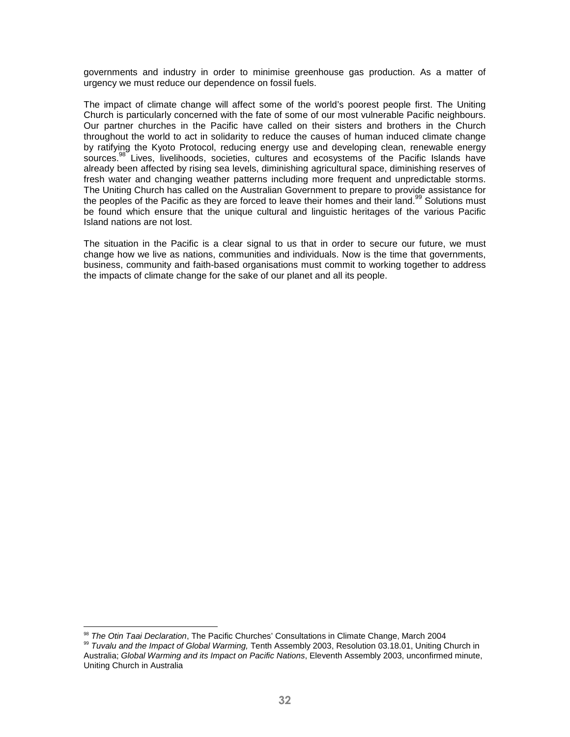governments and industry in order to minimise greenhouse gas production. As a matter of urgency we must reduce our dependence on fossil fuels.

The impact of climate change will affect some of the world's poorest people first. The Uniting Church is particularly concerned with the fate of some of our most vulnerable Pacific neighbours. Our partner churches in the Pacific have called on their sisters and brothers in the Church throughout the world to act in solidarity to reduce the causes of human induced climate change by ratifying the Kyoto Protocol, reducing energy use and developing clean, renewable energy sources.<sup>98</sup> Lives, livelihoods, societies, cultures and ecosystems of the Pacific Islands have already been affected by rising sea levels, diminishing agricultural space, diminishing reserves of fresh water and changing weather patterns including more frequent and unpredictable storms. The Uniting Church has called on the Australian Government to prepare to provide assistance for the peoples of the Pacific as they are forced to leave their homes and their land.<sup>99</sup> Solutions must be found which ensure that the unique cultural and linguistic heritages of the various Pacific Island nations are not lost.

The situation in the Pacific is a clear signal to us that in order to secure our future, we must change how we live as nations, communities and individuals. Now is the time that governments, business, community and faith-based organisations must commit to working together to address the impacts of climate change for the sake of our planet and all its people.

<sup>&</sup>lt;sup>98</sup> The Otin Taai Declaration, The Pacific Churches' Consultations in Climate Change, March 2004

<sup>99</sup> Tuvalu and the Impact of Global Warming, Tenth Assembly 2003, Resolution 03.18.01, Uniting Church in Australia; Global Warming and its Impact on Pacific Nations, Eleventh Assembly 2003, unconfirmed minute, Uniting Church in Australia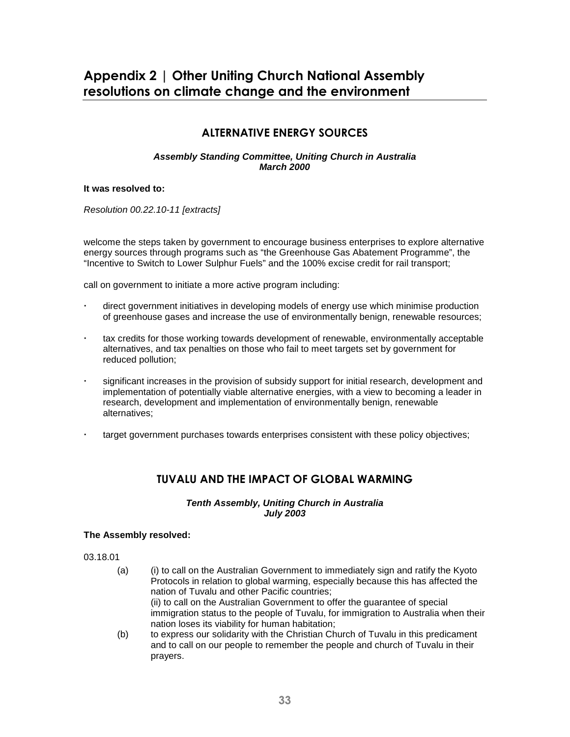## Appendix 2 | Other Uniting Church National Assembly resolutions on climate change and the environment

### ALTERNATIVE ENERGY SOURCES

#### **Assembly Standing Committee, Uniting Church in Australia March 2000**

#### **It was resolved to:**

Resolution 00.22.10-11 [extracts]

welcome the steps taken by government to encourage business enterprises to explore alternative energy sources through programs such as "the Greenhouse Gas Abatement Programme", the "Incentive to Switch to Lower Sulphur Fuels" and the 100% excise credit for rail transport;

call on government to initiate a more active program including:

- direct government initiatives in developing models of energy use which minimise production of greenhouse gases and increase the use of environmentally benign, renewable resources;
- tax credits for those working towards development of renewable, environmentally acceptable alternatives, and tax penalties on those who fail to meet targets set by government for reduced pollution;
- significant increases in the provision of subsidy support for initial research, development and implementation of potentially viable alternative energies, with a view to becoming a leader in research, development and implementation of environmentally benign, renewable alternatives;
- target government purchases towards enterprises consistent with these policy objectives;

### TUVALU AND THE IMPACT OF GLOBAL WARMING

#### **Tenth Assembly, Uniting Church in Australia July 2003**

#### **The Assembly resolved:**

03.18.01

- (a) (i) to call on the Australian Government to immediately sign and ratify the Kyoto Protocols in relation to global warming, especially because this has affected the nation of Tuvalu and other Pacific countries; (ii) to call on the Australian Government to offer the guarantee of special immigration status to the people of Tuvalu, for immigration to Australia when their nation loses its viability for human habitation;
- (b) to express our solidarity with the Christian Church of Tuvalu in this predicament and to call on our people to remember the people and church of Tuvalu in their prayers.